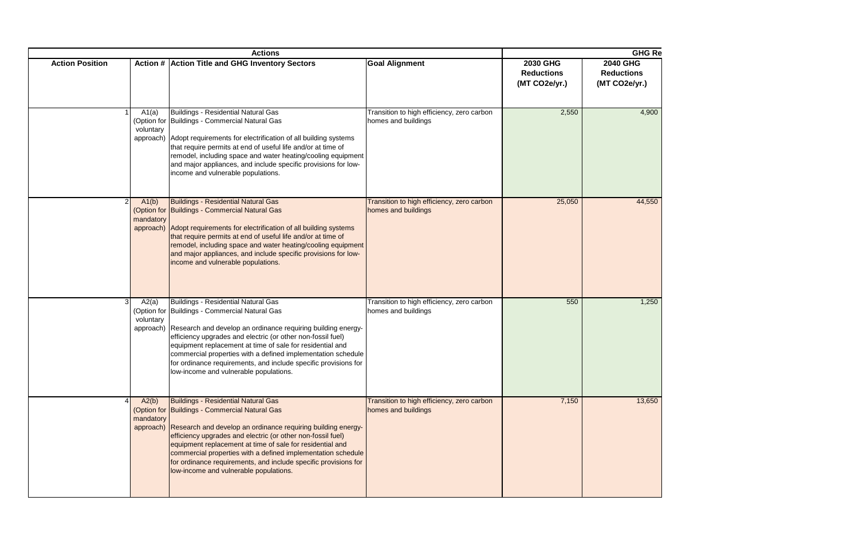| <b>GHG Re</b><br><b>Actions</b> |                    |                                                                                                                                                                                                                                                                                                                                                                                                                                                                                 |                                                                   |                                                       |                                                       |  |  |  |
|---------------------------------|--------------------|---------------------------------------------------------------------------------------------------------------------------------------------------------------------------------------------------------------------------------------------------------------------------------------------------------------------------------------------------------------------------------------------------------------------------------------------------------------------------------|-------------------------------------------------------------------|-------------------------------------------------------|-------------------------------------------------------|--|--|--|
| <b>Action Position</b>          |                    | Action # Action Title and GHG Inventory Sectors                                                                                                                                                                                                                                                                                                                                                                                                                                 | <b>Goal Alignment</b>                                             | <b>2030 GHG</b><br><b>Reductions</b><br>(MT CO2e/yr.) | <b>2040 GHG</b><br><b>Reductions</b><br>(MT CO2e/yr.) |  |  |  |
|                                 | A1(a)<br>voluntary | Buildings - Residential Natural Gas<br>(Option for Buildings - Commercial Natural Gas<br>approach) Adopt requirements for electrification of all building systems<br>that require permits at end of useful life and/or at time of<br>remodel, including space and water heating/cooling equipment<br>and major appliances, and include specific provisions for low-<br>income and vulnerable populations.                                                                       | Transition to high efficiency, zero carbon<br>homes and buildings | 2,550                                                 | 4,900                                                 |  |  |  |
|                                 | A1(b)<br>mandatory | <b>Buildings - Residential Natural Gas</b><br>(Option for Buildings - Commercial Natural Gas<br>approach) Adopt requirements for electrification of all building systems<br>that require permits at end of useful life and/or at time of<br>remodel, including space and water heating/cooling equipment<br>and major appliances, and include specific provisions for low-<br>income and vulnerable populations.                                                                | Transition to high efficiency, zero carbon<br>homes and buildings | 25,050                                                | 44,550                                                |  |  |  |
|                                 | A2(a)<br>voluntary | Buildings - Residential Natural Gas<br>(Option for Buildings - Commercial Natural Gas<br>approach) Research and develop an ordinance requiring building energy-<br>efficiency upgrades and electric (or other non-fossil fuel)<br>equipment replacement at time of sale for residential and<br>commercial properties with a defined implementation schedule<br>for ordinance requirements, and include specific provisions for<br>low-income and vulnerable populations.        | Transition to high efficiency, zero carbon<br>homes and buildings | 550                                                   | 1,250                                                 |  |  |  |
|                                 | A2(b)<br>mandatory | <b>Buildings - Residential Natural Gas</b><br>(Option for Buildings - Commercial Natural Gas<br>approach) Research and develop an ordinance requiring building energy-<br>efficiency upgrades and electric (or other non-fossil fuel)<br>equipment replacement at time of sale for residential and<br>commercial properties with a defined implementation schedule<br>for ordinance requirements, and include specific provisions for<br>low-income and vulnerable populations. | Transition to high efficiency, zero carbon<br>homes and buildings | 7,150                                                 | 13,650                                                |  |  |  |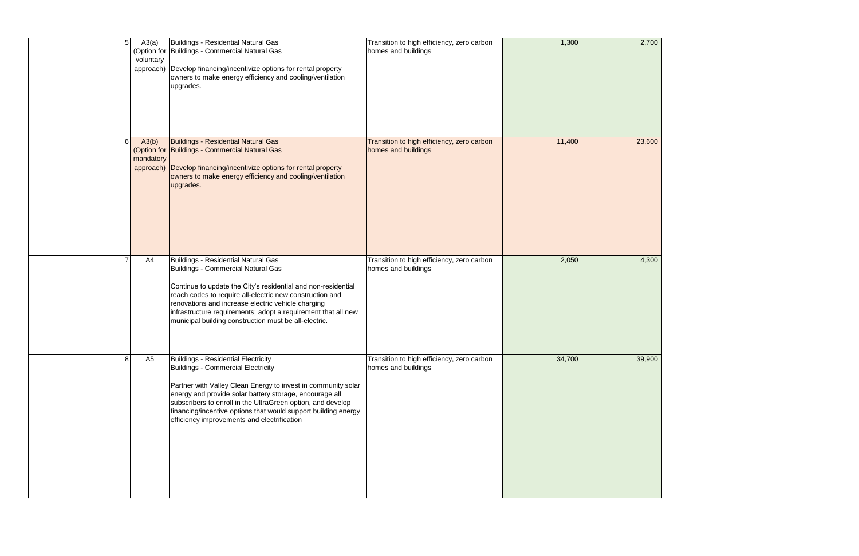| 5  | A3(a)<br>voluntary | Buildings - Residential Natural Gas<br>(Option for Buildings - Commercial Natural Gas<br>approach) Develop financing/incentivize options for rental property<br>owners to make energy efficiency and cooling/ventilation<br>upgrades.                                                                                                                                                                | Transition to high efficiency, zero carbon<br>homes and buildings | 1,300  | 2,700  |
|----|--------------------|------------------------------------------------------------------------------------------------------------------------------------------------------------------------------------------------------------------------------------------------------------------------------------------------------------------------------------------------------------------------------------------------------|-------------------------------------------------------------------|--------|--------|
| 61 | A3(b)<br>mandatory | <b>Buildings - Residential Natural Gas</b><br>(Option for Buildings - Commercial Natural Gas<br>approach) Develop financing/incentivize options for rental property<br>owners to make energy efficiency and cooling/ventilation<br>upgrades.                                                                                                                                                         | Transition to high efficiency, zero carbon<br>homes and buildings | 11,400 | 23,600 |
|    | A4                 | <b>Buildings - Residential Natural Gas</b><br><b>Buildings - Commercial Natural Gas</b><br>Continue to update the City's residential and non-residential<br>reach codes to require all-electric new construction and<br>renovations and increase electric vehicle charging<br>infrastructure requirements; adopt a requirement that all new<br>municipal building construction must be all-electric. | Transition to high efficiency, zero carbon<br>homes and buildings | 2,050  | 4,300  |
| 8  | A <sub>5</sub>     | <b>Buildings - Residential Electricity</b><br>Buildings - Commercial Electricity<br>Partner with Valley Clean Energy to invest in community solar<br>energy and provide solar battery storage, encourage all<br>subscribers to enroll in the UltraGreen option, and develop<br>financing/incentive options that would support building energy<br>efficiency improvements and electrification         | Transition to high efficiency, zero carbon<br>homes and buildings | 34,700 | 39,900 |

| 2,700  |  |  |
|--------|--|--|
| 23,600 |  |  |
| 4,300  |  |  |
| 39,900 |  |  |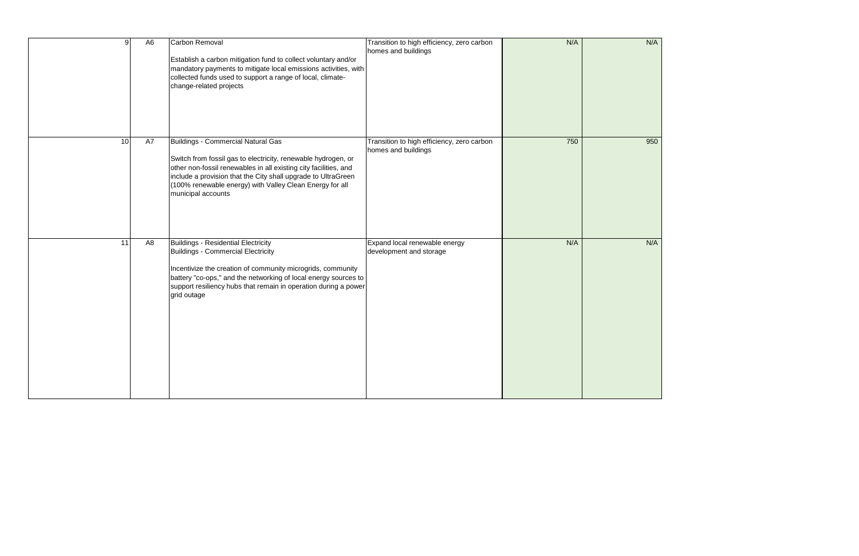| g  | A6 | Carbon Removal<br>Establish a carbon mitigation fund to collect voluntary and/or<br>mandatory payments to mitigate local emissions activities, with<br>collected funds used to support a range of local, climate-<br>change-related projects                                                                                      | Transition to high efficiency, zero carbon<br>homes and buildings | N/A |  |
|----|----|-----------------------------------------------------------------------------------------------------------------------------------------------------------------------------------------------------------------------------------------------------------------------------------------------------------------------------------|-------------------------------------------------------------------|-----|--|
| 10 | A7 | <b>Buildings - Commercial Natural Gas</b><br>Switch from fossil gas to electricity, renewable hydrogen, or<br>other non-fossil renewables in all existing city facilities, and<br>include a provision that the City shall upgrade to UltraGreen<br>(100% renewable energy) with Valley Clean Energy for all<br>municipal accounts | Transition to high efficiency, zero carbon<br>homes and buildings | 750 |  |
| 11 | A8 | <b>Buildings - Residential Electricity</b><br><b>Buildings - Commercial Electricity</b><br>Incentivize the creation of community microgrids, community<br>battery "co-ops," and the networking of local energy sources to<br>support resiliency hubs that remain in operation during a power<br>grid outage                       | Expand local renewable energy<br>development and storage          | N/A |  |

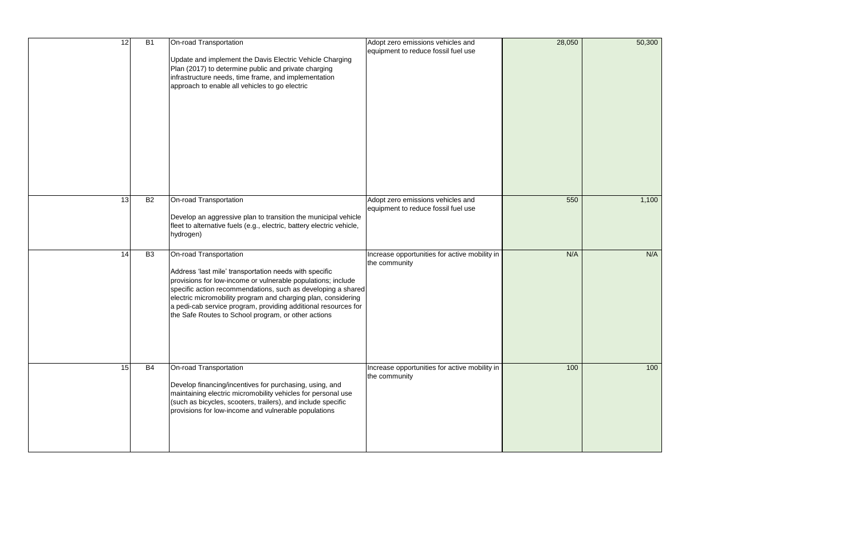| 12 | B1        | On-road Transportation<br>Update and implement the Davis Electric Vehicle Charging<br>Plan (2017) to determine public and private charging<br>infrastructure needs, time frame, and implementation<br>approach to enable all vehicles to go electric                                                                                                                                                       | Adopt zero emissions vehicles and<br>equipment to reduce fossil fuel use | 28,050 | 50,300 |
|----|-----------|------------------------------------------------------------------------------------------------------------------------------------------------------------------------------------------------------------------------------------------------------------------------------------------------------------------------------------------------------------------------------------------------------------|--------------------------------------------------------------------------|--------|--------|
| 13 | <b>B2</b> | On-road Transportation<br>Develop an aggressive plan to transition the municipal vehicle<br>fleet to alternative fuels (e.g., electric, battery electric vehicle,<br>hydrogen)                                                                                                                                                                                                                             | Adopt zero emissions vehicles and<br>equipment to reduce fossil fuel use | 550    | 1,100  |
| 14 | <b>B3</b> | On-road Transportation<br>Address 'last mile' transportation needs with specific<br>provisions for low-income or vulnerable populations; include<br>specific action recommendations, such as developing a shared<br>electric micromobility program and charging plan, considering<br>a pedi-cab service program, providing additional resources for<br>the Safe Routes to School program, or other actions | Increase opportunities for active mobility in<br>the community           | N/A    | N/A    |
| 15 | <b>B4</b> | <b>On-road Transportation</b><br>Develop financing/incentives for purchasing, using, and<br>maintaining electric micromobility vehicles for personal use<br>(such as bicycles, scooters, trailers), and include specific<br>provisions for low-income and vulnerable populations                                                                                                                           | Increase opportunities for active mobility in<br>the community           | 100    | 100    |

| 50,300          |  |
|-----------------|--|
|                 |  |
| 1,100           |  |
| N/A             |  |
| $\frac{1}{100}$ |  |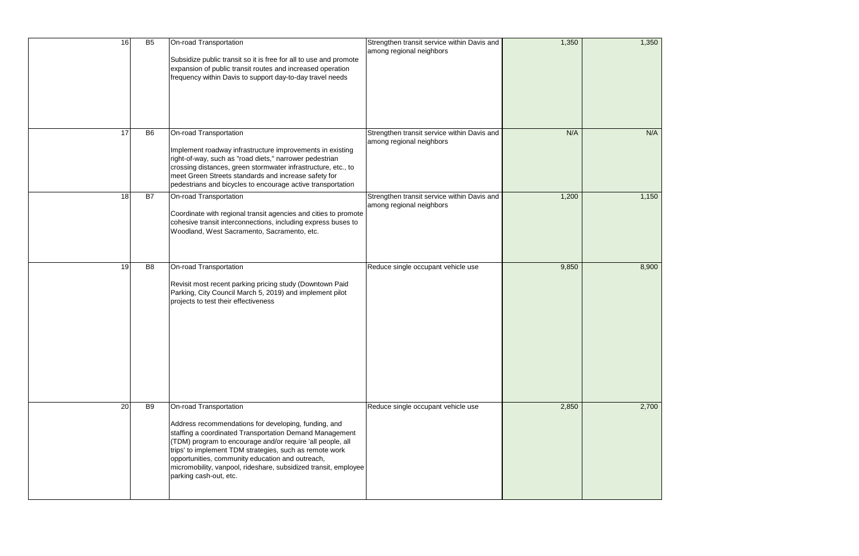| 16 | B <sub>5</sub> | On-road Transportation<br>Subsidize public transit so it is free for all to use and promote<br>expansion of public transit routes and increased operation<br>frequency within Davis to support day-to-day travel needs                                                                                                                                                                                              | Strengthen transit service within Davis and<br>among regional neighbors | 1,350 | 1,350 |
|----|----------------|---------------------------------------------------------------------------------------------------------------------------------------------------------------------------------------------------------------------------------------------------------------------------------------------------------------------------------------------------------------------------------------------------------------------|-------------------------------------------------------------------------|-------|-------|
| 17 | <b>B6</b>      | On-road Transportation<br>Implement roadway infrastructure improvements in existing<br>right-of-way, such as "road diets," narrower pedestrian<br>crossing distances, green stormwater infrastructure, etc., to<br>meet Green Streets standards and increase safety for<br>pedestrians and bicycles to encourage active transportation                                                                              | Strengthen transit service within Davis and<br>among regional neighbors | N/A   | N/A   |
| 18 | <b>B7</b>      | On-road Transportation<br>Coordinate with regional transit agencies and cities to promote<br>cohesive transit interconnections, including express buses to<br>Woodland, West Sacramento, Sacramento, etc.                                                                                                                                                                                                           | Strengthen transit service within Davis and<br>among regional neighbors | 1,200 | 1,150 |
| 19 | B <sub>8</sub> | On-road Transportation<br>Revisit most recent parking pricing study (Downtown Paid<br>Parking, City Council March 5, 2019) and implement pilot<br>projects to test their effectiveness                                                                                                                                                                                                                              | Reduce single occupant vehicle use                                      | 9,850 | 8,900 |
| 20 | <b>B9</b>      | On-road Transportation<br>Address recommendations for developing, funding, and<br>staffing a coordinated Transportation Demand Management<br>(TDM) program to encourage and/or require 'all people, all<br>trips' to implement TDM strategies, such as remote work<br>opportunities, community education and outreach,<br>micromobility, vanpool, rideshare, subsidized transit, employee<br>parking cash-out, etc. | Reduce single occupant vehicle use                                      | 2,850 | 2,700 |

| 1,350 |  |
|-------|--|
|       |  |
|       |  |
|       |  |
|       |  |
|       |  |
|       |  |
|       |  |
|       |  |
|       |  |
|       |  |
|       |  |
|       |  |
|       |  |
|       |  |
|       |  |
|       |  |
| N/A   |  |
|       |  |
|       |  |
|       |  |
|       |  |
|       |  |
|       |  |
|       |  |
|       |  |
|       |  |
|       |  |
| 1,150 |  |
|       |  |
|       |  |
|       |  |
|       |  |
|       |  |
|       |  |
|       |  |
|       |  |
|       |  |
|       |  |
|       |  |
|       |  |
| 8,900 |  |
|       |  |
|       |  |
|       |  |
|       |  |
|       |  |
|       |  |
|       |  |
|       |  |
|       |  |
|       |  |
|       |  |
|       |  |
|       |  |
|       |  |
|       |  |
|       |  |
|       |  |
|       |  |
|       |  |
|       |  |
|       |  |
|       |  |
|       |  |
|       |  |
| 2,700 |  |
|       |  |
|       |  |
|       |  |
|       |  |
|       |  |
|       |  |
|       |  |
|       |  |
|       |  |
|       |  |
|       |  |
|       |  |
|       |  |
|       |  |
|       |  |
|       |  |
|       |  |
|       |  |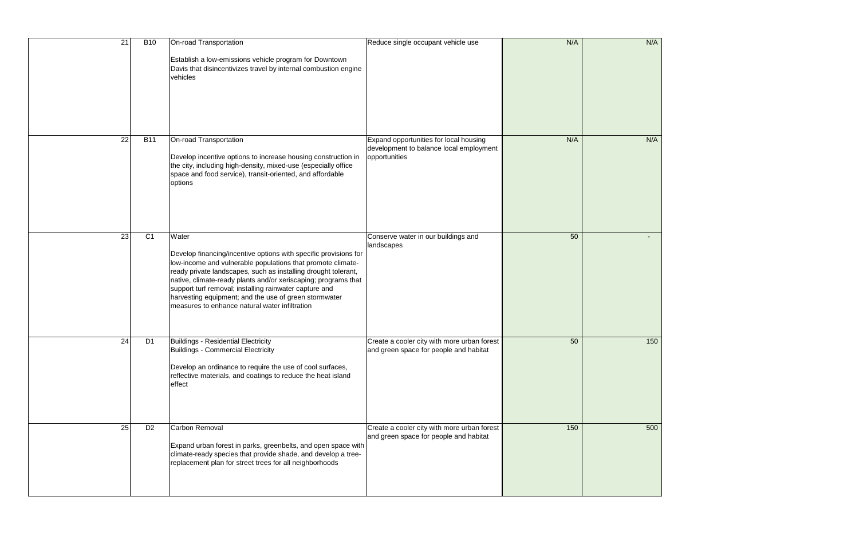| 21 | <b>B10</b>     | On-road Transportation<br>Establish a low-emissions vehicle program for Downtown<br>Davis that disincentivizes travel by internal combustion engine<br>vehicles                                                                                                                                                                                                                                                                                   | Reduce single occupant vehicle use                                                                 | N/A | N/A |
|----|----------------|---------------------------------------------------------------------------------------------------------------------------------------------------------------------------------------------------------------------------------------------------------------------------------------------------------------------------------------------------------------------------------------------------------------------------------------------------|----------------------------------------------------------------------------------------------------|-----|-----|
| 22 | <b>B11</b>     | On-road Transportation<br>Develop incentive options to increase housing construction in<br>the city, including high-density, mixed-use (especially office<br>space and food service), transit-oriented, and affordable<br>options                                                                                                                                                                                                                 | Expand opportunities for local housing<br>development to balance local employment<br>opportunities | N/A | N/A |
| 23 | C <sub>1</sub> | Water<br>Develop financing/incentive options with specific provisions for<br>low-income and vulnerable populations that promote climate-<br>ready private landscapes, such as installing drought tolerant,<br>native, climate-ready plants and/or xeriscaping; programs that<br>support turf removal; installing rainwater capture and<br>harvesting equipment; and the use of green stormwater<br>measures to enhance natural water infiltration | Conserve water in our buildings and<br>landscapes                                                  | 50  |     |
| 24 | D <sub>1</sub> | <b>Buildings - Residential Electricity</b><br>Buildings - Commercial Electricity<br>Develop an ordinance to require the use of cool surfaces,<br>reflective materials, and coatings to reduce the heat island<br>effect                                                                                                                                                                                                                           | Create a cooler city with more urban forest<br>and green space for people and habitat              | 50  | 150 |
| 25 | D <sub>2</sub> | Carbon Removal<br>Expand urban forest in parks, greenbelts, and open space with<br>climate-ready species that provide shade, and develop a tree-<br>replacement plan for street trees for all neighborhoods                                                                                                                                                                                                                                       | Create a cooler city with more urban forest<br>and green space for people and habitat              | 150 | 500 |

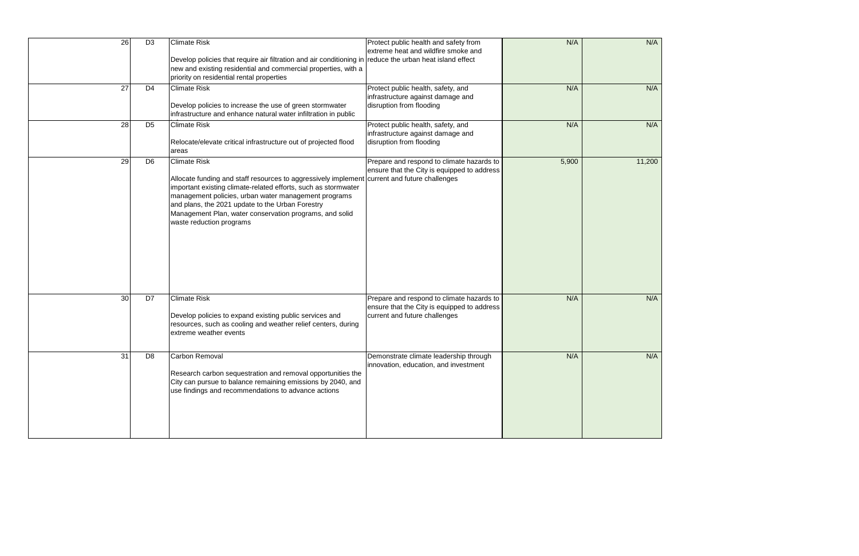| 26 | D <sub>3</sub> | <b>Climate Risk</b><br>Develop policies that require air filtration and air conditioning in reduce the urban heat island effect<br>new and existing residential and commercial properties, with a<br>priority on residential rental properties                                                                                                                                           | Protect public health and safety from<br>extreme heat and wildfire smoke and                                              | N/A   | N/A    |
|----|----------------|------------------------------------------------------------------------------------------------------------------------------------------------------------------------------------------------------------------------------------------------------------------------------------------------------------------------------------------------------------------------------------------|---------------------------------------------------------------------------------------------------------------------------|-------|--------|
| 27 | D <sub>4</sub> | <b>Climate Risk</b><br>Develop policies to increase the use of green stormwater<br>infrastructure and enhance natural water infiltration in public                                                                                                                                                                                                                                       | Protect public health, safety, and<br>infrastructure against damage and<br>disruption from flooding                       | N/A   | N/A    |
| 28 | D <sub>5</sub> | <b>Climate Risk</b><br>Relocate/elevate critical infrastructure out of projected flood<br>areas                                                                                                                                                                                                                                                                                          | Protect public health, safety, and<br>infrastructure against damage and<br>disruption from flooding                       | N/A   | N/A    |
| 29 | D <sub>6</sub> | <b>Climate Risk</b><br>Allocate funding and staff resources to aggressively implement current and future challenges<br>important existing climate-related efforts, such as stormwater<br>management policies, urban water management programs<br>and plans, the 2021 update to the Urban Forestry<br>Management Plan, water conservation programs, and solid<br>waste reduction programs | Prepare and respond to climate hazards to<br>ensure that the City is equipped to address                                  | 5,900 | 11,200 |
| 30 | D7             | <b>Climate Risk</b><br>Develop policies to expand existing public services and<br>resources, such as cooling and weather relief centers, during<br>extreme weather events                                                                                                                                                                                                                | Prepare and respond to climate hazards to<br>ensure that the City is equipped to address<br>current and future challenges | N/A   | N/A    |
| 31 | D <sub>8</sub> | Carbon Removal<br>Research carbon sequestration and removal opportunities the<br>City can pursue to balance remaining emissions by 2040, and<br>use findings and recommendations to advance actions                                                                                                                                                                                      | Demonstrate climate leadership through<br>innovation, education, and investment                                           | N/A   | N/A    |

| N/A    |  |
|--------|--|
| N/A    |  |
| N/A    |  |
| 11,200 |  |
| N/A    |  |
| N/A    |  |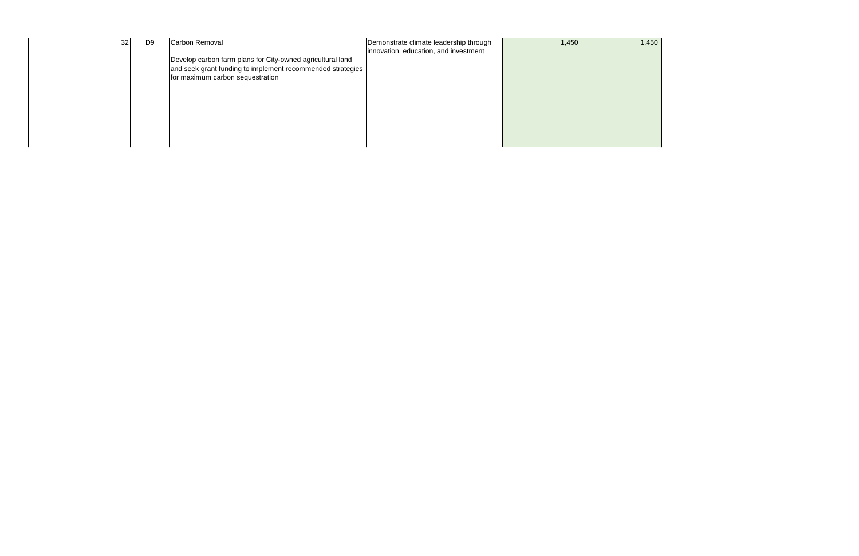| 32 <sub>l</sub> | D <sub>9</sub> | Carbon Removal                                                                                                           | Demonstrate climate leadership through | 1,450 |  |
|-----------------|----------------|--------------------------------------------------------------------------------------------------------------------------|----------------------------------------|-------|--|
|                 |                |                                                                                                                          | innovation, education, and investment  |       |  |
|                 |                | Develop carbon farm plans for City-owned agricultural land<br>and seek grant funding to implement recommended strategies |                                        |       |  |
|                 |                | for maximum carbon sequestration                                                                                         |                                        |       |  |
|                 |                |                                                                                                                          |                                        |       |  |
|                 |                |                                                                                                                          |                                        |       |  |
|                 |                |                                                                                                                          |                                        |       |  |
|                 |                |                                                                                                                          |                                        |       |  |
|                 |                |                                                                                                                          |                                        |       |  |
|                 |                |                                                                                                                          |                                        |       |  |
|                 |                |                                                                                                                          |                                        |       |  |

1,450 1,450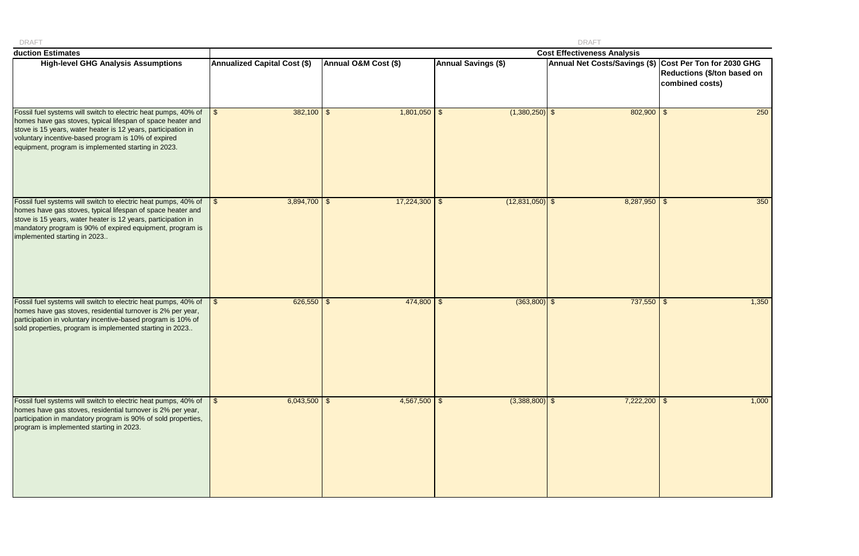| <b>DRAFT</b>                                                                                                                                                                                                                                                                                                 |                                     |                      |                            | <b>DRAFT</b>                                            |                                                       |
|--------------------------------------------------------------------------------------------------------------------------------------------------------------------------------------------------------------------------------------------------------------------------------------------------------------|-------------------------------------|----------------------|----------------------------|---------------------------------------------------------|-------------------------------------------------------|
| duction Estimates                                                                                                                                                                                                                                                                                            |                                     |                      |                            | <b>Cost Effectiveness Analysis</b>                      |                                                       |
| <b>High-level GHG Analysis Assumptions</b>                                                                                                                                                                                                                                                                   | <b>Annualized Capital Cost (\$)</b> | Annual O&M Cost (\$) | <b>Annual Savings (\$)</b> | Annual Net Costs/Savings (\$) Cost Per Ton for 2030 GHG | <b>Reductions (\$/ton based on</b><br>combined costs) |
| Fossil fuel systems will switch to electric heat pumps, 40% of<br>homes have gas stoves, typical lifespan of space heater and<br>stove is 15 years, water heater is 12 years, participation in<br>voluntary incentive-based program is 10% of expired<br>equipment, program is implemented starting in 2023. | $382,100$ \$<br>$\mathfrak{S}$      | $1,801,050$ \$       | $(1,380,250)$ \$           | $802,900$ \$                                            | 250                                                   |
| Fossil fuel systems will switch to electric heat pumps, 40% of<br>homes have gas stoves, typical lifespan of space heater and<br>stove is 15 years, water heater is 12 years, participation in<br>mandatory program is 90% of expired equipment, program is<br>implemented starting in 2023                  | $3,894,700$ \$<br>S.                | $17,224,300$ \$      | $(12,831,050)$ \$          | $8,287,950$ \$                                          | 350                                                   |
| Fossil fuel systems will switch to electric heat pumps, 40% of<br>homes have gas stoves, residential turnover is 2% per year,<br>participation in voluntary incentive-based program is 10% of<br>sold properties, program is implemented starting in 2023                                                    | $626,550$ \$<br>l \$                | $474,800$ \$         | $(363,800)$ \$             | $737,550$ \ \$                                          | 1,350                                                 |
| Fossil fuel systems will switch to electric heat pumps, 40% of<br>homes have gas stoves, residential turnover is 2% per year,<br>participation in mandatory program is 90% of sold properties,<br>program is implemented starting in 2023.                                                                   | $6,043,500$ \$                      | $4,567,500$ \$       | $(3,388,800)$ \$           | $7,222,200$ \$                                          | 1,000                                                 |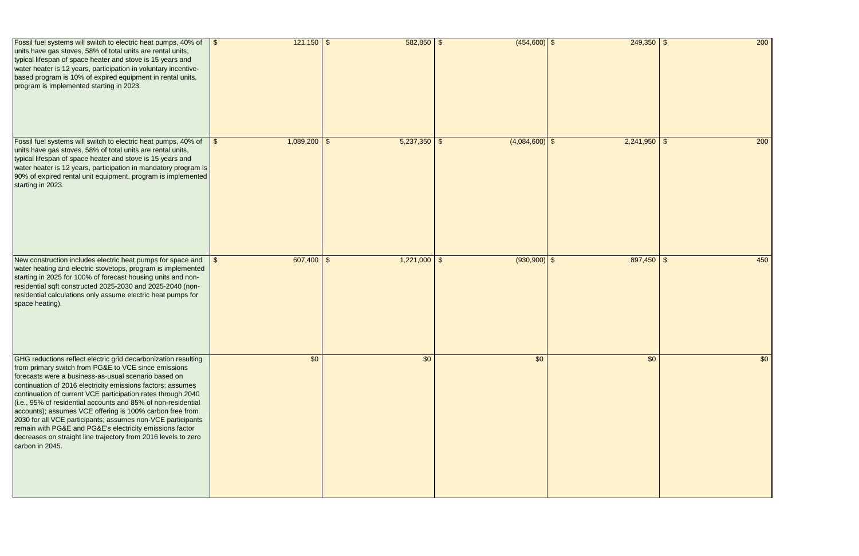| Fossil fuel systems will switch to electric heat pumps, 40% of<br>units have gas stoves, 58% of total units are rental units,<br>typical lifespan of space heater and stove is 15 years and<br>water heater is 12 years, participation in voluntary incentive-<br>based program is 10% of expired equipment in rental units,<br>program is implemented starting in 2023.                                                                                                                                                                                                                                                                                   | $121,150$ \$<br>$\vert$ \$   | $582,850$ \$   | $(454,600)$ \$   | $249,350$ \$   | 200 |
|------------------------------------------------------------------------------------------------------------------------------------------------------------------------------------------------------------------------------------------------------------------------------------------------------------------------------------------------------------------------------------------------------------------------------------------------------------------------------------------------------------------------------------------------------------------------------------------------------------------------------------------------------------|------------------------------|----------------|------------------|----------------|-----|
| Fossil fuel systems will switch to electric heat pumps, 40% of<br>units have gas stoves, 58% of total units are rental units,<br>typical lifespan of space heater and stove is 15 years and<br>water heater is 12 years, participation in mandatory program is<br>90% of expired rental unit equipment, program is implemented<br>starting in 2023.                                                                                                                                                                                                                                                                                                        | $1,089,200$ \$<br>$\vert$ \$ | $5,237,350$ \$ | $(4,084,600)$ \$ | $2,241,950$ \$ | 200 |
| New construction includes electric heat pumps for space and<br>water heating and electric stovetops, program is implemented<br>starting in 2025 for 100% of forecast housing units and non-<br>residential sqft constructed 2025-2030 and 2025-2040 (non-<br>residential calculations only assume electric heat pumps for<br>space heating).                                                                                                                                                                                                                                                                                                               | $607,400$ \$                 | $1,221,000$ \$ | $(930,900)$ \$   | $897,450$ \$   | 450 |
| GHG reductions reflect electric grid decarbonization resulting<br>from primary switch from PG&E to VCE since emissions<br>forecasts were a business-as-usual scenario based on<br>continuation of 2016 electricity emissions factors; assumes<br>continuation of current VCE participation rates through 2040<br>(i.e., 95% of residential accounts and 85% of non-residential<br>accounts); assumes VCE offering is 100% carbon free from<br>2030 for all VCE participants; assumes non-VCE participants<br>remain with PG&E and PG&E's electricity emissions factor<br>decreases on straight line trajectory from 2016 levels to zero<br>carbon in 2045. | \$0                          | \$0            | \$0              | \$0            | \$0 |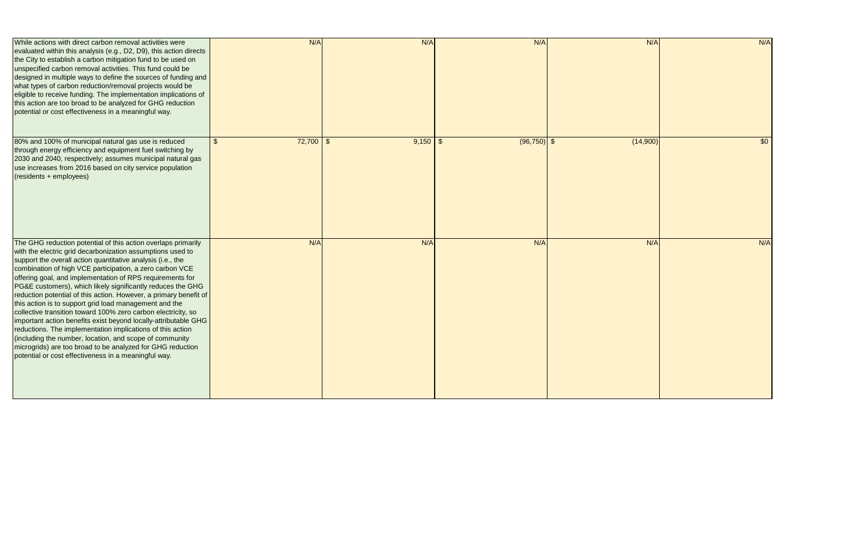| While actions with direct carbon removal activities were<br>evaluated within this analysis (e.g., D2, D9), this action directs<br>the City to establish a carbon mitigation fund to be used on<br>unspecified carbon removal activities. This fund could be<br>designed in multiple ways to define the sources of funding and<br>what types of carbon reduction/removal projects would be<br>eligible to receive funding. The implementation implications of<br>this action are too broad to be analyzed for GHG reduction<br>potential or cost effectiveness in a meaningful way.                                                                                                                                                                                                                                                                                                                   | N/A                  | N/A                         | N/A            | N/A      | N/A             |
|------------------------------------------------------------------------------------------------------------------------------------------------------------------------------------------------------------------------------------------------------------------------------------------------------------------------------------------------------------------------------------------------------------------------------------------------------------------------------------------------------------------------------------------------------------------------------------------------------------------------------------------------------------------------------------------------------------------------------------------------------------------------------------------------------------------------------------------------------------------------------------------------------|----------------------|-----------------------------|----------------|----------|-----------------|
| 80% and 100% of municipal natural gas use is reduced<br>through energy efficiency and equipment fuel switching by<br>2030 and 2040, respectively; assumes municipal natural gas<br>use increases from 2016 based on city service population<br>(residents + employees)                                                                                                                                                                                                                                                                                                                                                                                                                                                                                                                                                                                                                               | 72,700<br>$\sqrt{2}$ | $9,150$ \$<br>$\sqrt[6]{3}$ | $(96, 750)$ \$ | (14,900) | $\overline{50}$ |
| The GHG reduction potential of this action overlaps primarily<br>with the electric grid decarbonization assumptions used to<br>support the overall action quantitative analysis (i.e., the<br>combination of high VCE participation, a zero carbon VCE<br>offering goal, and implementation of RPS requirements for<br>PG&E customers), which likely significantly reduces the GHG<br>reduction potential of this action. However, a primary benefit of<br>this action is to support grid load management and the<br>collective transition toward 100% zero carbon electricity, so<br>important action benefits exist beyond locally-attributable GHG<br>reductions. The implementation implications of this action<br>(including the number, location, and scope of community<br>microgrids) are too broad to be analyzed for GHG reduction<br>potential or cost effectiveness in a meaningful way. | N/A                  | N/A                         | N/A            | N/A      | N/A             |

| N/A      | N/A |
|----------|-----|
|          |     |
|          |     |
|          |     |
|          |     |
|          |     |
|          |     |
| (14,900) | \$0 |
|          |     |
|          |     |
|          |     |
|          |     |
|          |     |
| N/A      | N/A |
|          |     |
|          |     |
|          |     |
|          |     |
|          |     |
|          |     |
|          |     |
|          |     |
|          |     |
|          |     |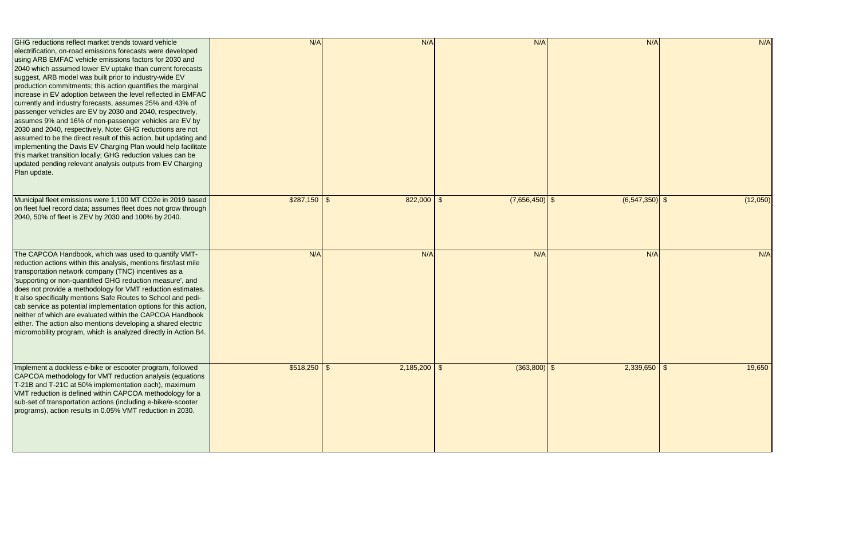| <b>IGHG</b> reductions reflect market trends toward vehicle<br>electrification, on-road emissions forecasts were developed<br>using ARB EMFAC vehicle emissions factors for 2030 and<br>2040 which assumed lower EV uptake than current forecasts<br>suggest, ARB model was built prior to industry-wide EV<br>production commitments; this action quantifies the marginal                                                                                                                                                                                                                                                                         | N/A             | N/A            | N/A              | N/A              | N/A      |
|----------------------------------------------------------------------------------------------------------------------------------------------------------------------------------------------------------------------------------------------------------------------------------------------------------------------------------------------------------------------------------------------------------------------------------------------------------------------------------------------------------------------------------------------------------------------------------------------------------------------------------------------------|-----------------|----------------|------------------|------------------|----------|
| increase in EV adoption between the level reflected in EMFAC<br>currently and industry forecasts, assumes 25% and 43% of<br>passenger vehicles are EV by 2030 and 2040, respectively,<br>assumes 9% and 16% of non-passenger vehicles are EV by<br>2030 and 2040, respectively. Note: GHG reductions are not<br>assumed to be the direct result of this action, but updating and<br>implementing the Davis EV Charging Plan would help facilitate<br>this market transition locally; GHG reduction values can be<br>updated pending relevant analysis outputs from EV Charging<br>Plan update.                                                     |                 |                |                  |                  |          |
| Municipal fleet emissions were 1,100 MT CO2e in 2019 based<br>on fleet fuel record data; assumes fleet does not grow through<br>2040, 50% of fleet is ZEV by 2030 and 100% by 2040.                                                                                                                                                                                                                                                                                                                                                                                                                                                                | $$287,150$ \ \$ | $822,000$ \ \$ | $(7,656,450)$ \$ | $(6,547,350)$ \$ | (12,050) |
| The CAPCOA Handbook, which was used to quantify VMT-<br>reduction actions within this analysis, mentions first/last mile<br>transportation network company (TNC) incentives as a<br>'supporting or non-quantified GHG reduction measure', and<br>does not provide a methodology for VMT reduction estimates.<br>It also specifically mentions Safe Routes to School and pedi-<br>cab service as potential implementation options for this action,<br>neither of which are evaluated within the CAPCOA Handbook<br>either. The action also mentions developing a shared electric<br>micromobility program, which is analyzed directly in Action B4. | N/A             | N/A            | N/A              | N/A              | N/A      |
| Implement a dockless e-bike or escooter program, followed<br>CAPCOA methodology for VMT reduction analysis (equations<br>T-21B and T-21C at 50% implementation each), maximum<br>VMT reduction is defined within CAPCOA methodology for a<br>sub-set of transportation actions (including e-bike/e-scooter<br>programs), action results in 0.05% VMT reduction in 2030.                                                                                                                                                                                                                                                                            | $$518,250$ \$   | $2,185,200$ \$ | $(363,800)$ \$   | $2,339,650$ \$   | 19,650   |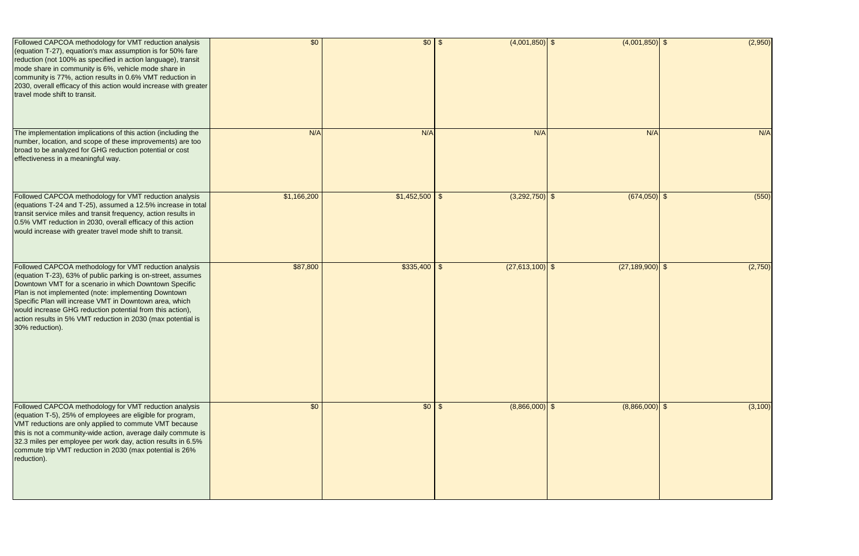| Followed CAPCOA methodology for VMT reduction analysis<br>(equation T-27), equation's max assumption is for 50% fare<br>reduction (not 100% as specified in action language), transit<br>mode share in community is 6%, vehicle mode share in<br>community is 77%, action results in 0.6% VMT reduction in<br>2030, overall efficacy of this action would increase with greater<br>travel mode shift to transit.                                    | \$0         | $$0 \,   \, $$     | $(4,001,850)$ \$  | $(4,001,850)$ \$    | (2,950)  |
|-----------------------------------------------------------------------------------------------------------------------------------------------------------------------------------------------------------------------------------------------------------------------------------------------------------------------------------------------------------------------------------------------------------------------------------------------------|-------------|--------------------|-------------------|---------------------|----------|
| The implementation implications of this action (including the<br>number, location, and scope of these improvements) are too<br>broad to be analyzed for GHG reduction potential or cost<br>effectiveness in a meaningful way.                                                                                                                                                                                                                       | N/A         | N/A                | N/A               | N/A                 | N/A      |
| Followed CAPCOA methodology for VMT reduction analysis<br>(equations T-24 and T-25), assumed a 12.5% increase in total<br>transit service miles and transit frequency, action results in<br>0.5% VMT reduction in 2030, overall efficacy of this action<br>would increase with greater travel mode shift to transit.                                                                                                                                | \$1,166,200 | $$1,452,500$ \ \\$ | $(3,292,750)$ \$  | $(674,050)$ \$      | (550)    |
| Followed CAPCOA methodology for VMT reduction analysis<br>(equation T-23), 63% of public parking is on-street, assumes<br>Downtown VMT for a scenario in which Downtown Specific<br>Plan is not implemented (note: implementing Downtown<br>Specific Plan will increase VMT in Downtown area, which<br>would increase GHG reduction potential from this action),<br>action results in 5% VMT reduction in 2030 (max potential is<br>30% reduction). | \$87,800    | $$335,400$ \$      | $(27,613,100)$ \$ | $(27, 189, 900)$ \$ | (2,750)  |
| Followed CAPCOA methodology for VMT reduction analysis<br>(equation T-5), 25% of employees are eligible for program,<br>VMT reductions are only applied to commute VMT because<br>this is not a community-wide action, average daily commute is<br>32.3 miles per employee per work day, action results in 6.5%<br>commute trip VMT reduction in 2030 (max potential is 26%<br>reduction).                                                          | \$0         | $$0 \mid $$        | $(8,866,000)$ \$  | $(8,866,000)$ \$    | (3, 100) |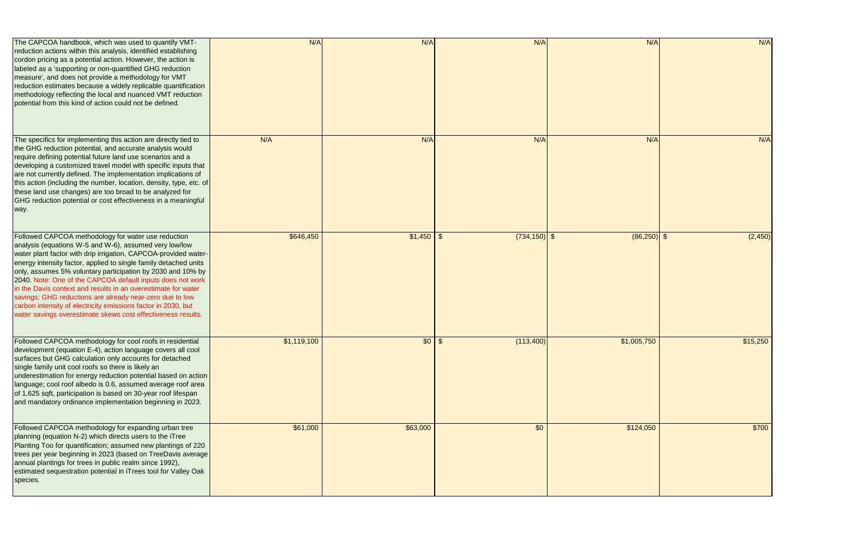| The CAPCOA handbook, which was used to quantify VMT-<br>reduction actions within this analysis, identified establishing<br>cordon pricing as a potential action. However, the action is<br>labeled as a 'supporting or non-quantified GHG reduction<br>measure', and does not provide a methodology for VMT<br>reduction estimates because a widely replicable quantification<br>methodology reflecting the local and nuanced VMT reduction<br>potential from this kind of action could not be defined.                                                                                                                                         | N/A         | N/A         | N/A             | N/A           | N/A      |
|-------------------------------------------------------------------------------------------------------------------------------------------------------------------------------------------------------------------------------------------------------------------------------------------------------------------------------------------------------------------------------------------------------------------------------------------------------------------------------------------------------------------------------------------------------------------------------------------------------------------------------------------------|-------------|-------------|-----------------|---------------|----------|
| The specifics for implementing this action are directly tied to<br>the GHG reduction potential, and accurate analysis would<br>require defining potential future land use scenarios and a<br>developing a customized travel model with specific inputs that<br>are not currently defined. The implementation implications of<br>this action (including the number, location, density, type, etc. of<br>these land use changes) are too broad to be analyzed for<br>GHG reduction potential or cost effectiveness in a meaningful<br>way.                                                                                                        | N/A         | N/A         | N/A             | N/A           | N/A      |
| Followed CAPCOA methodology for water use reduction<br>analysis (equations W-5 and W-6), assumed very low/low<br>water plant factor with drip irrigation, CAPCOA-provided water-<br>energy intensity factor, applied to single family detached units<br>only, assumes 5% voluntary participation by 2030 and 10% by<br>2040. Note: One of the CAPCOA default inputs does not work<br>in the Davis context and results in an overestimate for water<br>savings; GHG reductions are already near-zero due to low<br>carbon intensity of electricity emissions factor in 2030, but<br>water savings overestimate skews cost effectiveness results. | \$646,450   |             | $(734, 150)$ \$ | $(86,250)$ \$ | (2,450)  |
| Followed CAPCOA methodology for cool roofs in residential<br>development (equation E-4), action language covers all cool<br>surfaces but GHG calculation only accounts for detached<br>single family unit cool roofs so there is likely an<br>underestimation for energy reduction potential based on action<br>language; cool roof albedo is 0.6, assumed average roof area<br>of 1,625 sqft, participation is based on 30-year roof lifespan<br>and mandatory ordinance implementation beginning in 2023.                                                                                                                                     | \$1,119,100 | $$0 \mid $$ | (113,400)       | \$1,005,750   | \$15,250 |
| Followed CAPCOA methodology for expanding urban tree<br>planning (equation N-2) which directs users to the iTree<br>Planting Too for quantification; assumed new plantings of 220<br>trees per year beginning in 2023 (based on TreeDavis average<br>annual plantings for trees in public realm since 1992),<br>estimated sequestration potential in iTrees tool for Valley Oak<br>species.                                                                                                                                                                                                                                                     | \$61,000    | \$63,000    | \$0             | \$124,050     | \$700    |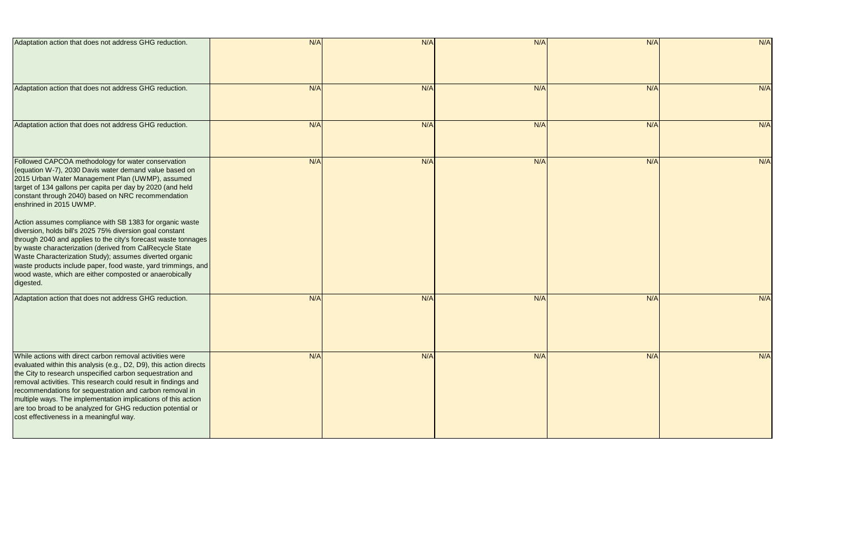| Adaptation action that does not address GHG reduction.                                                                                                                                                                                                                                                                                                                                                                                                                                                                                                                                                                                                                                                                                                                    | N/A | N/A | N/A | N/A | N/A |
|---------------------------------------------------------------------------------------------------------------------------------------------------------------------------------------------------------------------------------------------------------------------------------------------------------------------------------------------------------------------------------------------------------------------------------------------------------------------------------------------------------------------------------------------------------------------------------------------------------------------------------------------------------------------------------------------------------------------------------------------------------------------------|-----|-----|-----|-----|-----|
| Adaptation action that does not address GHG reduction.                                                                                                                                                                                                                                                                                                                                                                                                                                                                                                                                                                                                                                                                                                                    | N/A | N/A | N/A | N/A | N/A |
| Adaptation action that does not address GHG reduction.                                                                                                                                                                                                                                                                                                                                                                                                                                                                                                                                                                                                                                                                                                                    | N/A | N/A | N/A | N/A | N/A |
| Followed CAPCOA methodology for water conservation<br>(equation W-7), 2030 Davis water demand value based on<br>2015 Urban Water Management Plan (UWMP), assumed<br>target of 134 gallons per capita per day by 2020 (and held<br>constant through 2040) based on NRC recommendation<br>enshrined in 2015 UWMP.<br>Action assumes compliance with SB 1383 for organic waste<br>diversion, holds bill's 2025 75% diversion goal constant<br>through 2040 and applies to the city's forecast waste tonnages<br>by waste characterization (derived from CalRecycle State<br>Waste Characterization Study); assumes diverted organic<br>waste products include paper, food waste, yard trimmings, and<br>wood waste, which are either composted or anaerobically<br>digested. | N/A | N/A | N/A | N/A | N/A |
| Adaptation action that does not address GHG reduction.                                                                                                                                                                                                                                                                                                                                                                                                                                                                                                                                                                                                                                                                                                                    | N/A | N/A | N/A | N/A | N/A |
| While actions with direct carbon removal activities were<br>evaluated within this analysis (e.g., D2, D9), this action directs<br>the City to research unspecified carbon sequestration and<br>removal activities. This research could result in findings and<br>recommendations for sequestration and carbon removal in<br>multiple ways. The implementation implications of this action<br>are too broad to be analyzed for GHG reduction potential or<br>cost effectiveness in a meaningful way.                                                                                                                                                                                                                                                                       | N/A | N/A | N/A | N/A | N/A |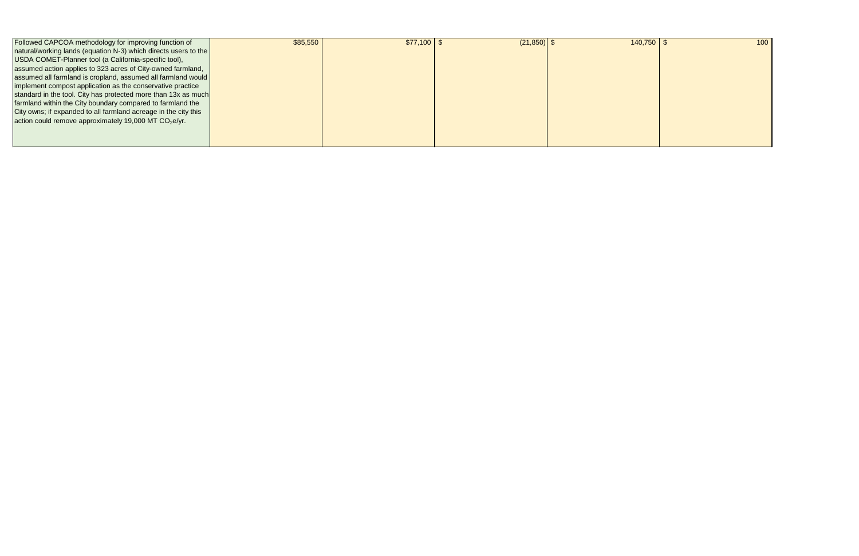| Followed CAPCOA methodology for improving function of           | \$85,550 | $$77,100$ \ \$ | $(21, 850)$ \$ | 140,750 | 100 |
|-----------------------------------------------------------------|----------|----------------|----------------|---------|-----|
| natural/working lands (equation N-3) which directs users to the |          |                |                |         |     |
| USDA COMET-Planner tool (a California-specific tool),           |          |                |                |         |     |
| assumed action applies to 323 acres of City-owned farmland,     |          |                |                |         |     |
| assumed all farmland is cropland, assumed all farmland would    |          |                |                |         |     |
| implement compost application as the conservative practice      |          |                |                |         |     |
| standard in the tool. City has protected more than 13x as much  |          |                |                |         |     |
| farmland within the City boundary compared to farmland the      |          |                |                |         |     |
| City owns; if expanded to all farmland acreage in the city this |          |                |                |         |     |
| action could remove approximately 19,000 MT $CO2e/yr$ .         |          |                |                |         |     |
|                                                                 |          |                |                |         |     |
|                                                                 |          |                |                |         |     |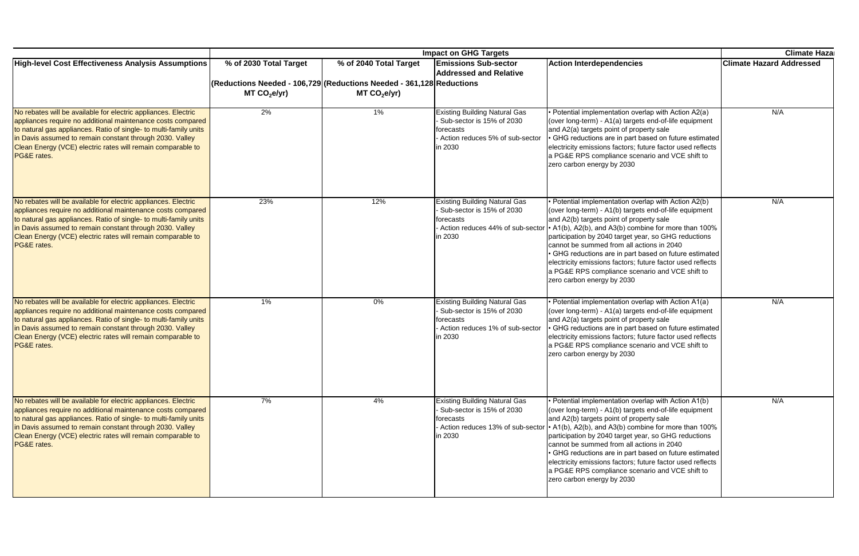|                                                                                                                                                                                                                                                                                                                                              |                                                                                                  | <b>Impact on GHG Targets</b> |                                                                                                                                |                                                                                                                                                                                                                                                                                                                                                                                                                                                                                                                                                                     |                                 |  |  |
|----------------------------------------------------------------------------------------------------------------------------------------------------------------------------------------------------------------------------------------------------------------------------------------------------------------------------------------------|--------------------------------------------------------------------------------------------------|------------------------------|--------------------------------------------------------------------------------------------------------------------------------|---------------------------------------------------------------------------------------------------------------------------------------------------------------------------------------------------------------------------------------------------------------------------------------------------------------------------------------------------------------------------------------------------------------------------------------------------------------------------------------------------------------------------------------------------------------------|---------------------------------|--|--|
| <b>High-level Cost Effectiveness Analysis Assumptions</b>                                                                                                                                                                                                                                                                                    | % of 2030 Total Target                                                                           | % of 2040 Total Target       | <b>Emissions Sub-sector</b><br><b>Addressed and Relative</b>                                                                   | <b>Action Interdependencies</b>                                                                                                                                                                                                                                                                                                                                                                                                                                                                                                                                     | <b>Climate Hazard Addressed</b> |  |  |
|                                                                                                                                                                                                                                                                                                                                              | (Reductions Needed - 106,729 (Reductions Needed - 361,128 Reductions<br>MT CO <sub>2</sub> e/yr) | MT CO <sub>2</sub> e/yr      |                                                                                                                                |                                                                                                                                                                                                                                                                                                                                                                                                                                                                                                                                                                     |                                 |  |  |
| No rebates will be available for electric appliances. Electric<br>appliances require no additional maintenance costs compared<br>to natural gas appliances. Ratio of single- to multi-family units<br>in Davis assumed to remain constant through 2030. Valley<br>Clean Energy (VCE) electric rates will remain comparable to<br>PG&E rates. | 2%                                                                                               | 1%                           | <b>Existing Building Natural Gas</b><br>- Sub-sector is 15% of 2030<br>forecasts<br>Action reduces 5% of sub-sector<br>in 2030 | • Potential implementation overlap with Action A2(a)<br>(over long-term) - A1(a) targets end-of-life equipment<br>and A2(a) targets point of property sale<br>GHG reductions are in part based on future estimated<br>electricity emissions factors; future factor used reflects<br>a PG&E RPS compliance scenario and VCE shift to<br>zero carbon energy by 2030                                                                                                                                                                                                   | N/A                             |  |  |
| No rebates will be available for electric appliances. Electric<br>appliances require no additional maintenance costs compared<br>to natural gas appliances. Ratio of single- to multi-family units<br>in Davis assumed to remain constant through 2030. Valley<br>Clean Energy (VCE) electric rates will remain comparable to<br>PG&E rates. | 23%                                                                                              | 12%                          | <b>Existing Building Natural Gas</b><br>- Sub-sector is 15% of 2030<br>forecasts<br>in 2030                                    | • Potential implementation overlap with Action A2(b)<br>(over long-term) - A1(b) targets end-of-life equipment<br>and A2(b) targets point of property sale<br>Action reduces 44% of sub-sector   A1(b), A2(b), and A3(b) combine for more than 100%<br>participation by 2040 target year, so GHG reductions<br>cannot be summed from all actions in 2040<br>• GHG reductions are in part based on future estimated<br>electricity emissions factors; future factor used reflects<br>a PG&E RPS compliance scenario and VCE shift to<br>zero carbon energy by 2030   | N/A                             |  |  |
| No rebates will be available for electric appliances. Electric<br>appliances require no additional maintenance costs compared<br>to natural gas appliances. Ratio of single- to multi-family units<br>in Davis assumed to remain constant through 2030. Valley<br>Clean Energy (VCE) electric rates will remain comparable to<br>PG&E rates. | $1\%$                                                                                            | 0%                           | <b>Existing Building Natural Gas</b><br>- Sub-sector is 15% of 2030<br>forecasts<br>Action reduces 1% of sub-sector<br>in 2030 | • Potential implementation overlap with Action A1(a)<br>(over long-term) - A1(a) targets end-of-life equipment<br>and A2(a) targets point of property sale<br>· GHG reductions are in part based on future estimated<br>electricity emissions factors; future factor used reflects<br>a PG&E RPS compliance scenario and VCE shift to<br>zero carbon energy by 2030                                                                                                                                                                                                 | N/A                             |  |  |
| No rebates will be available for electric appliances. Electric<br>appliances require no additional maintenance costs compared<br>to natural gas appliances. Ratio of single- to multi-family units<br>in Davis assumed to remain constant through 2030. Valley<br>Clean Energy (VCE) electric rates will remain comparable to<br>PG&E rates. | 7%                                                                                               | 4%                           | <b>Existing Building Natural Gas</b><br>- Sub-sector is 15% of 2030<br>forecasts<br>in 2030                                    | • Potential implementation overlap with Action A1(b)<br>(over long-term) - A1(b) targets end-of-life equipment<br>and A2(b) targets point of property sale<br>Action reduces 13% of sub-sector   • A1(b), A2(b), and A3(b) combine for more than 100%<br>participation by 2040 target year, so GHG reductions<br>cannot be summed from all actions in 2040<br>• GHG reductions are in part based on future estimated<br>electricity emissions factors; future factor used reflects<br>a PG&E RPS compliance scenario and VCE shift to<br>zero carbon energy by 2030 | N/A                             |  |  |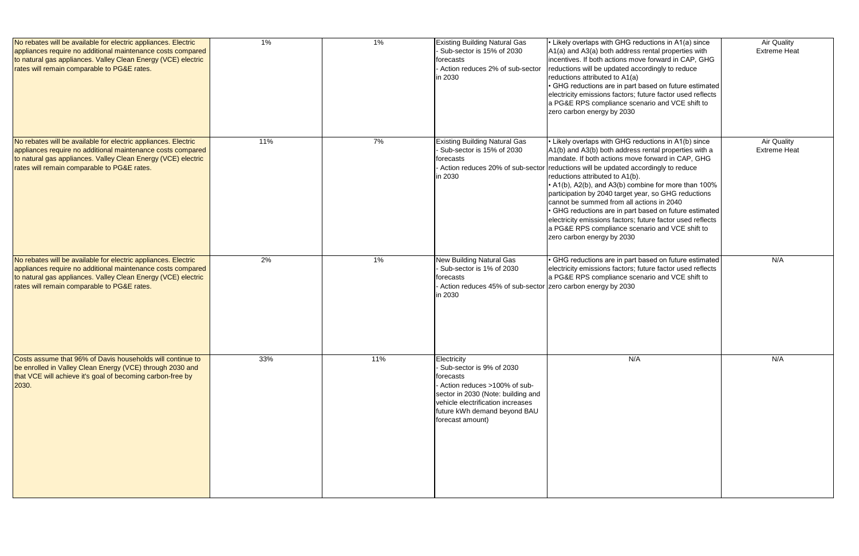| No rebates will be available for electric appliances. Electric<br>appliances require no additional maintenance costs compared<br>to natural gas appliances. Valley Clean Energy (VCE) electric<br>rates will remain comparable to PG&E rates. | 1%  | 1%  | <b>Existing Building Natural Gas</b><br>Sub-sector is 15% of 2030<br>forecasts<br>Action reduces 2% of sub-sector<br>in 2030                                                                                        | • Likely overlaps with GHG reductions in A1(a) since<br>A1(a) and A3(a) both address rental properties with<br>incentives. If both actions move forward in CAP, GHG<br>reductions will be updated accordingly to reduce<br>reductions attributed to A1(a)<br>· GHG reductions are in part based on future estimated<br>electricity emissions factors; future factor used reflects<br>a PG&E RPS compliance scenario and VCE shift to<br>zero carbon energy by 2030                                                                                                                                                              | <b>Air Quality</b><br><b>Extreme Heat</b> |
|-----------------------------------------------------------------------------------------------------------------------------------------------------------------------------------------------------------------------------------------------|-----|-----|---------------------------------------------------------------------------------------------------------------------------------------------------------------------------------------------------------------------|---------------------------------------------------------------------------------------------------------------------------------------------------------------------------------------------------------------------------------------------------------------------------------------------------------------------------------------------------------------------------------------------------------------------------------------------------------------------------------------------------------------------------------------------------------------------------------------------------------------------------------|-------------------------------------------|
| No rebates will be available for electric appliances. Electric<br>appliances require no additional maintenance costs compared<br>to natural gas appliances. Valley Clean Energy (VCE) electric<br>rates will remain comparable to PG&E rates. | 11% | 7%  | <b>Existing Building Natural Gas</b><br>Sub-sector is 15% of 2030<br>forecasts<br>Action reduces 20% of sub-sector<br>in 2030                                                                                       | • Likely overlaps with GHG reductions in A1(b) since<br>A1(b) and A3(b) both address rental properties with a<br>mandate. If both actions move forward in CAP, GHG<br>reductions will be updated accordingly to reduce<br>reductions attributed to A1(b).<br>• A1(b), A2(b), and A3(b) combine for more than 100%<br>participation by 2040 target year, so GHG reductions<br>cannot be summed from all actions in 2040<br>· GHG reductions are in part based on future estimated<br>electricity emissions factors; future factor used reflects<br>a PG&E RPS compliance scenario and VCE shift to<br>zero carbon energy by 2030 | <b>Air Quality</b><br><b>Extreme Heat</b> |
| No rebates will be available for electric appliances. Electric<br>appliances require no additional maintenance costs compared<br>to natural gas appliances. Valley Clean Energy (VCE) electric<br>rates will remain comparable to PG&E rates. | 2%  | 1%  | <b>New Building Natural Gas</b><br>Sub-sector is 1% of 2030<br>forecasts<br>Action reduces 45% of sub-sector zero carbon energy by 2030<br>in 2030                                                                  | · GHG reductions are in part based on future estimated<br>electricity emissions factors; future factor used reflects<br>a PG&E RPS compliance scenario and VCE shift to                                                                                                                                                                                                                                                                                                                                                                                                                                                         | N/A                                       |
| Costs assume that 96% of Davis households will continue to<br>be enrolled in Valley Clean Energy (VCE) through 2030 and<br>that VCE will achieve it's goal of becoming carbon-free by<br>2030.                                                | 33% | 11% | Electricity<br>Sub-sector is 9% of 2030<br>forecasts<br>Action reduces >100% of sub-<br>sector in 2030 (Note: building and<br>vehicle electrification increases<br>future kWh demand beyond BAU<br>forecast amount) | N/A                                                                                                                                                                                                                                                                                                                                                                                                                                                                                                                                                                                                                             | N/A                                       |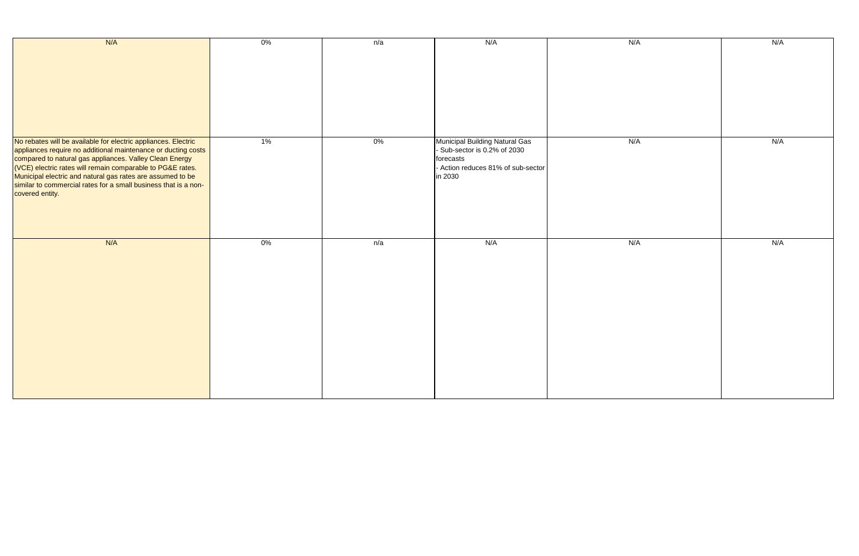| N/A                                                                                                                                                                                                                                                                                                                                                                                                          | $0\%$ | n/a   | N/A                                                                                                                          | N/A | N/A |
|--------------------------------------------------------------------------------------------------------------------------------------------------------------------------------------------------------------------------------------------------------------------------------------------------------------------------------------------------------------------------------------------------------------|-------|-------|------------------------------------------------------------------------------------------------------------------------------|-----|-----|
|                                                                                                                                                                                                                                                                                                                                                                                                              |       |       |                                                                                                                              |     |     |
| No rebates will be available for electric appliances. Electric<br>appliances require no additional maintenance or ducting costs<br>compared to natural gas appliances. Valley Clean Energy<br>(VCE) electric rates will remain comparable to PG&E rates.<br>Municipal electric and natural gas rates are assumed to be<br>similar to commercial rates for a small business that is a non-<br>covered entity. | $1\%$ | $0\%$ | Municipal Building Natural Gas<br>- Sub-sector is 0.2% of 2030<br>forecasts<br>- Action reduces 81% of sub-sector<br>in 2030 | N/A | N/A |
| N/A                                                                                                                                                                                                                                                                                                                                                                                                          | $0\%$ | n/a   | N/A                                                                                                                          | N/A | N/A |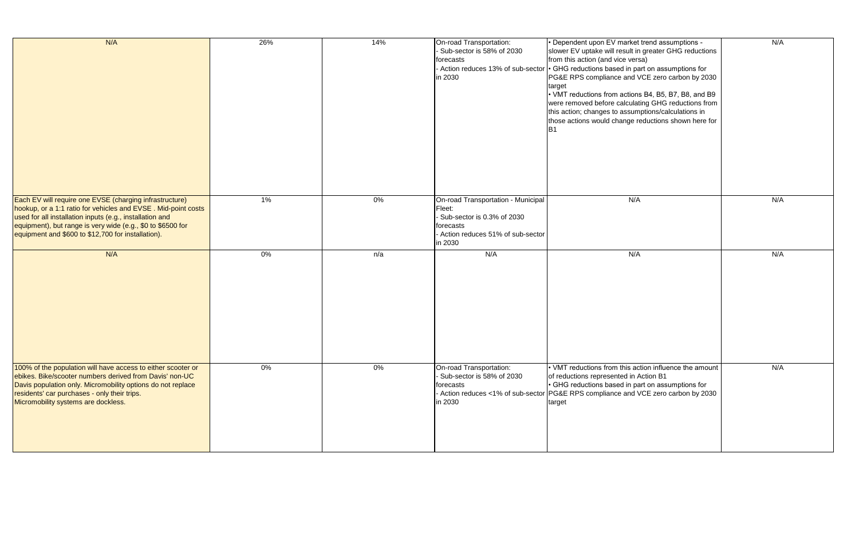| N/A                                                                                                                                                                                                                                                                                                       | 26%   | 14%   | On-road Transportation:<br>Sub-sector is 58% of 2030<br>forecasts<br>in 2030                                                           | Dependent upon EV market trend assumptions -<br>slower EV uptake will result in greater GHG reduction<br>from this action (and vice versa)<br>- Action reduces 13% of sub-sector $ \cdot\>$ GHG reductions based in part on assumptions for<br>PG&E RPS compliance and VCE zero carbon by 203<br>target<br>• VMT reductions from actions B4, B5, B7, B8, and B<br>were removed before calculating GHG reductions fro<br>this action; changes to assumptions/calculations in<br>those actions would change reductions shown here f<br>IB1 |
|-----------------------------------------------------------------------------------------------------------------------------------------------------------------------------------------------------------------------------------------------------------------------------------------------------------|-------|-------|----------------------------------------------------------------------------------------------------------------------------------------|------------------------------------------------------------------------------------------------------------------------------------------------------------------------------------------------------------------------------------------------------------------------------------------------------------------------------------------------------------------------------------------------------------------------------------------------------------------------------------------------------------------------------------------|
| Each EV will require one EVSE (charging infrastructure)<br>hookup, or a 1:1 ratio for vehicles and EVSE. Mid-point costs<br>used for all installation inputs (e.g., installation and<br>equipment), but range is very wide (e.g., \$0 to \$6500 for<br>equipment and \$600 to \$12,700 for installation). | $1\%$ | $0\%$ | On-road Transportation - Municipal<br>Fleet:<br>Sub-sector is 0.3% of 2030<br>forecasts<br>Action reduces 51% of sub-sector<br>in 2030 | N/A                                                                                                                                                                                                                                                                                                                                                                                                                                                                                                                                      |
| N/A                                                                                                                                                                                                                                                                                                       | $0\%$ | n/a   | N/A                                                                                                                                    | N/A                                                                                                                                                                                                                                                                                                                                                                                                                                                                                                                                      |
| 100% of the population will have access to either scooter or<br>ebikes. Bike/scooter numbers derived from Davis' non-UC<br>Davis population only. Micromobility options do not replace<br>residents' car purchases - only their trips.<br>Micromobility systems are dockless.                             | 0%    | 0%    | On-road Transportation:<br>Sub-sector is 58% of 2030<br>forecasts<br>in 2030                                                           | • VMT reductions from this action influence the amou<br>of reductions represented in Action B1<br>• GHG reductions based in part on assumptions for<br>- Action reduces <1% of sub-sector PG&E RPS compliance and VCE zero carbon by 203<br>target                                                                                                                                                                                                                                                                                       |

| N/A<br>N/A<br>N/A<br>N/A<br>N/A<br>N/A |                                                                                                                                                                                                                    |  |
|----------------------------------------|--------------------------------------------------------------------------------------------------------------------------------------------------------------------------------------------------------------------|--|
|                                        | • Dependent upon EV market trend assumptions -<br>slower EV uptake will result in greater GHG reductions<br>from this action (and vice versa)<br>• GHG reductions based in part on assumptions for                 |  |
|                                        | PG&E RPS compliance and VCE zero carbon by 2030<br>target<br>• VMT reductions from actions B4, B5, B7, B8, and B9                                                                                                  |  |
|                                        | were removed before calculating GHG reductions from<br>this action; changes to assumptions/calculations in<br>those actions would change reductions shown here for<br>Β1                                           |  |
|                                        |                                                                                                                                                                                                                    |  |
|                                        |                                                                                                                                                                                                                    |  |
|                                        |                                                                                                                                                                                                                    |  |
|                                        |                                                                                                                                                                                                                    |  |
|                                        |                                                                                                                                                                                                                    |  |
|                                        |                                                                                                                                                                                                                    |  |
|                                        | • VMT reductions from this action influence the amount<br>of reductions represented in Action B1<br>• GHG reductions based in part on assumptions for<br>PG&E RPS compliance and VCE zero carbon by 2030<br>target |  |
|                                        |                                                                                                                                                                                                                    |  |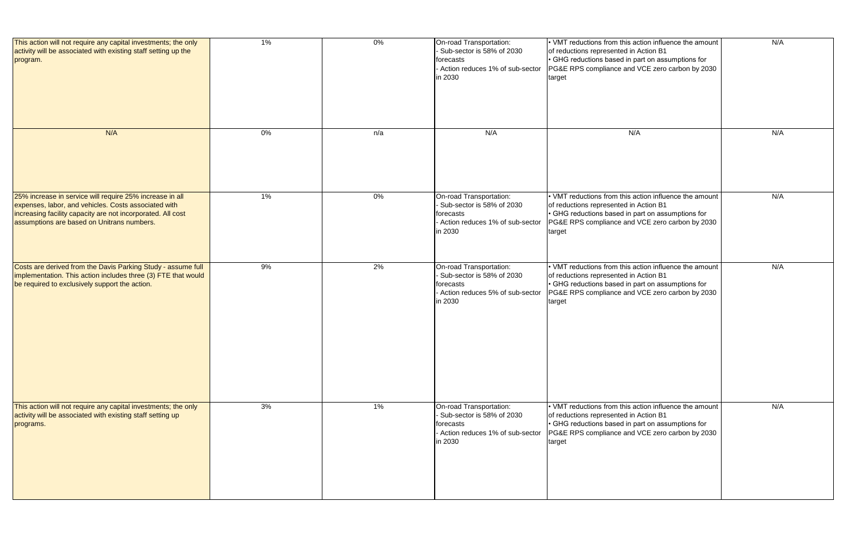| This action will not require any capital investments; the only<br>activity will be associated with existing staff setting up the<br>program.                                                                                  | 1%    | 0%  | On-road Transportation:<br>- Sub-sector is 58% of 2030<br>forecasts<br>- Action reduces 1% of sub-sector<br>in 2030 | • VMT reductions from this action influence the amount<br>of reductions represented in Action B1<br>• GHG reductions based in part on assumptions for<br>PG&E RPS compliance and VCE zero carbon by 2030<br>target | N/A |
|-------------------------------------------------------------------------------------------------------------------------------------------------------------------------------------------------------------------------------|-------|-----|---------------------------------------------------------------------------------------------------------------------|--------------------------------------------------------------------------------------------------------------------------------------------------------------------------------------------------------------------|-----|
| N/A                                                                                                                                                                                                                           | $0\%$ | n/a | N/A                                                                                                                 | N/A                                                                                                                                                                                                                | N/A |
| 25% increase in service will require 25% increase in all<br>expenses, labor, and vehicles. Costs associated with<br>increasing facility capacity are not incorporated. All cost<br>assumptions are based on Unitrans numbers. | 1%    | 0%  | On-road Transportation:<br>Sub-sector is 58% of 2030<br>forecasts<br>- Action reduces 1% of sub-sector<br>in 2030   | • VMT reductions from this action influence the amount<br>of reductions represented in Action B1<br>• GHG reductions based in part on assumptions for<br>PG&E RPS compliance and VCE zero carbon by 2030<br>target | N/A |
| Costs are derived from the Davis Parking Study - assume full<br>implementation. This action includes three (3) FTE that would<br>be required to exclusively support the action.                                               | 9%    | 2%  | On-road Transportation:<br>- Sub-sector is 58% of 2030<br>forecasts<br>- Action reduces 5% of sub-sector<br>in 2030 | . VMT reductions from this action influence the amount<br>of reductions represented in Action B1<br>• GHG reductions based in part on assumptions for<br>PG&E RPS compliance and VCE zero carbon by 2030<br>target | N/A |
| This action will not require any capital investments; the only<br>activity will be associated with existing staff setting up<br>programs.                                                                                     | 3%    | 1%  | On-road Transportation:<br>- Sub-sector is 58% of 2030<br>forecasts<br>- Action reduces 1% of sub-sector<br>in 2030 | • VMT reductions from this action influence the amount<br>of reductions represented in Action B1<br>• GHG reductions based in part on assumptions for<br>PG&E RPS compliance and VCE zero carbon by 2030<br>target | N/A |

| • VMT reductions from this action influence the amount<br>of reductions represented in Action B1<br>• GHG reductions based in part on assumptions for<br>PG&E RPS compliance and VCE zero carbon by 2030<br>target | N/A |
|--------------------------------------------------------------------------------------------------------------------------------------------------------------------------------------------------------------------|-----|
| N/A                                                                                                                                                                                                                | N/A |
| . VMT reductions from this action influence the amount<br>of reductions represented in Action B1<br>• GHG reductions based in part on assumptions for<br>PG&E RPS compliance and VCE zero carbon by 2030<br>target | N/A |
| . VMT reductions from this action influence the amount<br>of reductions represented in Action B1<br>• GHG reductions based in part on assumptions for<br>PG&E RPS compliance and VCE zero carbon by 2030<br>target | N/A |
| • VMT reductions from this action influence the amount<br>of reductions represented in Action B1<br>• GHG reductions based in part on assumptions for<br>PG&E RPS compliance and VCE zero carbon by 2030<br>target | N/A |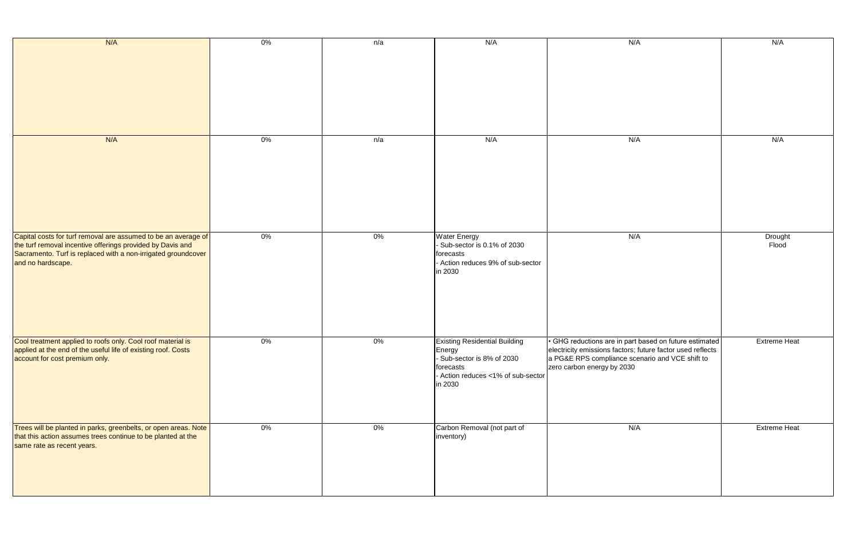| N/A                                                                                                                                                                                                                | $0\%$ | n/a   | N/A                                                                                                                                         | N/A                                                                                                                                                                                                   | N/A                 |
|--------------------------------------------------------------------------------------------------------------------------------------------------------------------------------------------------------------------|-------|-------|---------------------------------------------------------------------------------------------------------------------------------------------|-------------------------------------------------------------------------------------------------------------------------------------------------------------------------------------------------------|---------------------|
| N/A                                                                                                                                                                                                                | $0\%$ | n/a   | N/A                                                                                                                                         | N/A                                                                                                                                                                                                   | N/A                 |
| Capital costs for turf removal are assumed to be an average of<br>the turf removal incentive offerings provided by Davis and<br>Sacramento. Turf is replaced with a non-irrigated groundcover<br>and no hardscape. | $0\%$ | $0\%$ | <b>Water Energy</b><br>- Sub-sector is 0.1% of 2030<br>forecasts<br>- Action reduces 9% of sub-sector<br>in 2030                            | N/A                                                                                                                                                                                                   | Drought<br>Flood    |
| Cool treatment applied to roofs only. Cool roof material is<br>applied at the end of the useful life of existing roof. Costs<br>account for cost premium only.                                                     | $0\%$ | $0\%$ | <b>Existing Residential Building</b><br>∣Energy<br>- Sub-sector is 8% of 2030<br>forecasts<br>- Action reduces <1% of sub-sector<br>in 2030 | • GHG reductions are in part based on future estimated<br>electricity emissions factors; future factor used reflects<br>a PG&E RPS compliance scenario and VCE shift to<br>zero carbon energy by 2030 | <b>Extreme Heat</b> |
| Trees will be planted in parks, greenbelts, or open areas. Note<br>that this action assumes trees continue to be planted at the<br>same rate as recent years.                                                      | $0\%$ | $0\%$ | Carbon Removal (not part of<br>inventory)                                                                                                   | N/A                                                                                                                                                                                                   | <b>Extreme Heat</b> |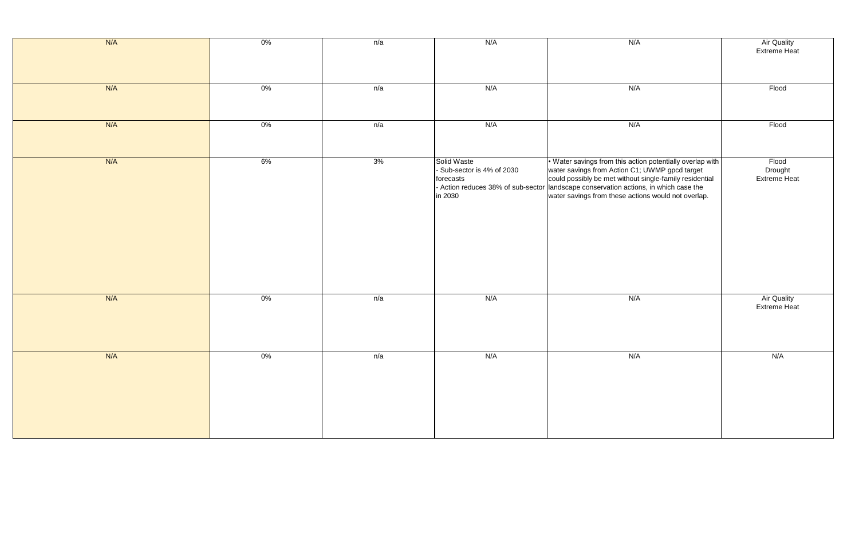| N/A | $0\%$ | n/a | N/A                                                             | N/A                                                                                                                                                                                                                                                                                                                   | Air Quality<br>Extreme He      |
|-----|-------|-----|-----------------------------------------------------------------|-----------------------------------------------------------------------------------------------------------------------------------------------------------------------------------------------------------------------------------------------------------------------------------------------------------------------|--------------------------------|
| N/A | $0\%$ | n/a | N/A                                                             | N/A                                                                                                                                                                                                                                                                                                                   | Flood                          |
| N/A | $0\%$ | n/a | N/A                                                             | N/A                                                                                                                                                                                                                                                                                                                   | Flood                          |
| N/A | 6%    | 3%  | Solid Waste<br>Sub-sector is 4% of 2030<br>forecasts<br>in 2030 | • Water savings from this action potentially overlap with<br>water savings from Action C1; UWMP gpcd target<br>could possibly be met without single-family residential<br>- Action reduces 38% of sub-sector landscape conservation actions, in which case the<br>water savings from these actions would not overlap. | Flood<br>Drought<br>Extreme He |
| N/A | $0\%$ | n/a | N/A                                                             | N/A                                                                                                                                                                                                                                                                                                                   | Air Quality<br>Extreme He      |
| N/A | $0\%$ | n/a | N/A                                                             | N/A                                                                                                                                                                                                                                                                                                                   | N/A                            |

| N/A                                                                                                                                                                                                                                                                                | <b>Air Quality</b><br><b>Extreme Heat</b> |
|------------------------------------------------------------------------------------------------------------------------------------------------------------------------------------------------------------------------------------------------------------------------------------|-------------------------------------------|
| N/A                                                                                                                                                                                                                                                                                | Flood                                     |
| N/A                                                                                                                                                                                                                                                                                | Flood                                     |
| . Water savings from this action potentially overlap with<br>water savings from Action C1; UWMP gpcd target<br>could possibly be met without single-family residential<br>landscape conservation actions, in which case the<br>water savings from these actions would not overlap. | Flood<br>Drought<br><b>Extreme Heat</b>   |
| N/A                                                                                                                                                                                                                                                                                | <b>Air Quality</b><br><b>Extreme Heat</b> |
| N/A                                                                                                                                                                                                                                                                                | N/A                                       |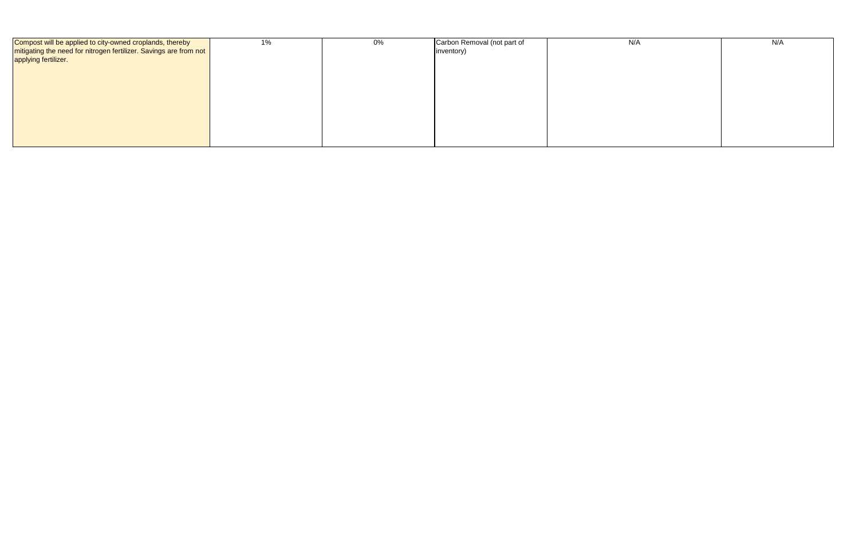| Compost will be applied to city-owned croplands, thereby          | 1% | 0% | Carbon Removal (not part of | N/A | N/A |
|-------------------------------------------------------------------|----|----|-----------------------------|-----|-----|
| mitigating the need for nitrogen fertilizer. Savings are from not |    |    | inventory)                  |     |     |
| applying fertilizer.                                              |    |    |                             |     |     |
|                                                                   |    |    |                             |     |     |
|                                                                   |    |    |                             |     |     |
|                                                                   |    |    |                             |     |     |
|                                                                   |    |    |                             |     |     |
|                                                                   |    |    |                             |     |     |
|                                                                   |    |    |                             |     |     |
|                                                                   |    |    |                             |     |     |
|                                                                   |    |    |                             |     |     |
|                                                                   |    |    |                             |     |     |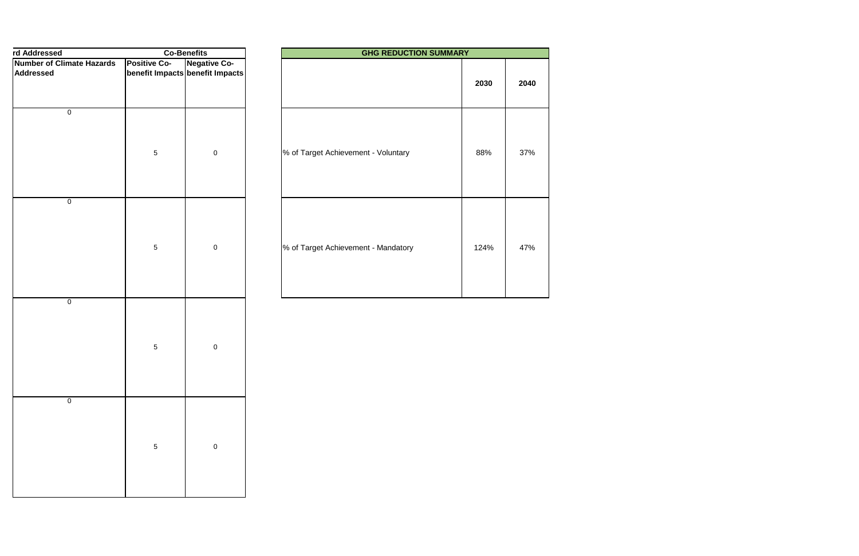| rd Addressed                     |                                 | <b>Co-Benefits</b>  | <b>GHG REDUCTION SUMMARY</b>        |  |
|----------------------------------|---------------------------------|---------------------|-------------------------------------|--|
| <b>Number of Climate Hazards</b> | <b>Positive Co-</b>             | <b>Negative Co-</b> |                                     |  |
| Addressed                        | benefit Impacts benefit Impacts |                     |                                     |  |
|                                  |                                 |                     |                                     |  |
| $\pmb{0}$                        | $\sqrt{5}$                      | $\mathbf 0$         | % of Target Achievement - Voluntary |  |
| $\pmb{0}$                        |                                 |                     |                                     |  |
|                                  | $\sqrt{5}$                      | $\mathbf 0$         | % of Target Achievement - Mandatory |  |
| $\pmb{0}$                        | $\sqrt{5}$                      | $\mathbf 0$         |                                     |  |
| $\overline{0}$                   | $\,$ 5 $\,$                     | $\pmb{0}$           |                                     |  |

| <b>Co-Benefits</b> |                                                | <b>GHG REDUCTION SUMMARY</b>        |      |      |
|--------------------|------------------------------------------------|-------------------------------------|------|------|
| e Co-              | <b>Negative Co-</b><br>Impacts benefit Impacts |                                     | 2030 | 2040 |
| 5                  | $\pmb{0}$                                      | % of Target Achievement - Voluntary | 88%  | 37%  |
| 5                  | $\mathbf 0$                                    | % of Target Achievement - Mandatory | 124% | 47%  |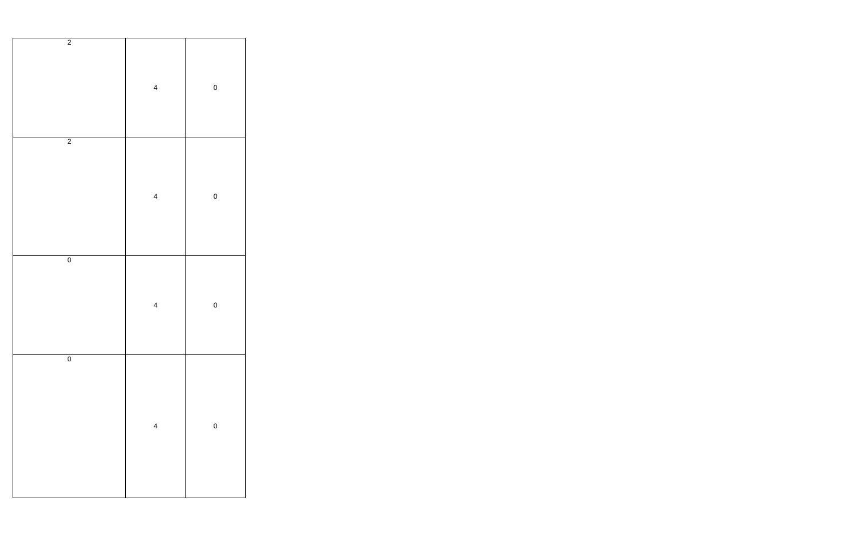| $\overline{2}$ | $\overline{\mathbf{4}}$ | $\mathbf{0}$ |
|----------------|-------------------------|--------------|
| $\overline{c}$ | $\overline{\mathbf{4}}$ | $\mathbf 0$  |
| $\overline{0}$ | $\overline{\mathbf{4}}$ | $\mathbf{0}$ |
| $\overline{0}$ | $\overline{\mathbf{4}}$ | $\mathbf{0}$ |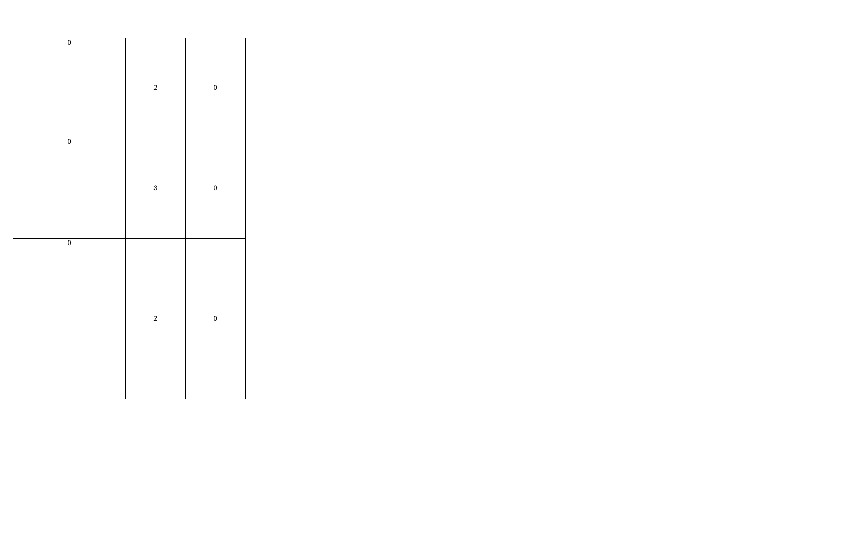| $\overline{0}$ | $\overline{c}$ | $\mathbf{0}$ |
|----------------|----------------|--------------|
| $\overline{0}$ | $\overline{3}$ | $\mathbf{0}$ |
| $\overline{0}$ | $\overline{c}$ | $\mathbf{0}$ |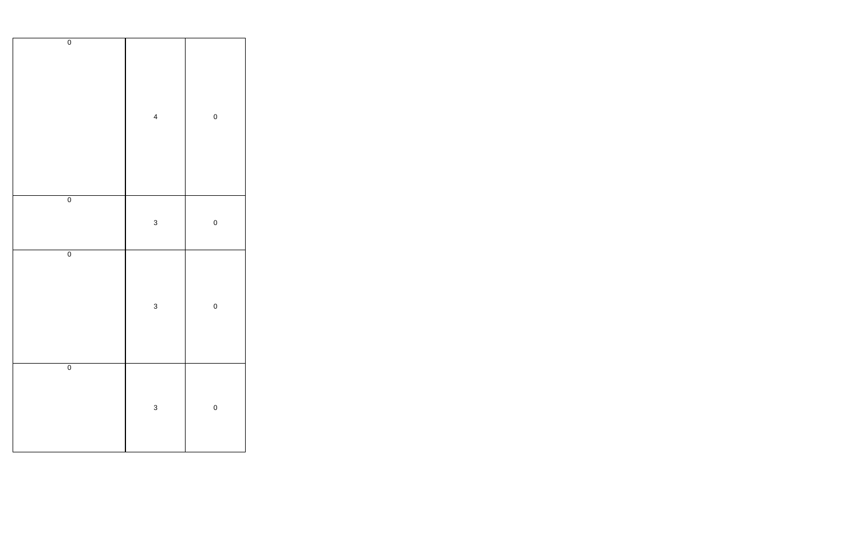| $\overline{0}$ | $\overline{\mathbf{4}}$ | $\mathbf 0$  |
|----------------|-------------------------|--------------|
| $\overline{0}$ | 3                       | $\mathbf{0}$ |
| $\overline{0}$ | 3                       | $\mathbf{0}$ |
| $\overline{0}$ | 3                       | $\mathbf{0}$ |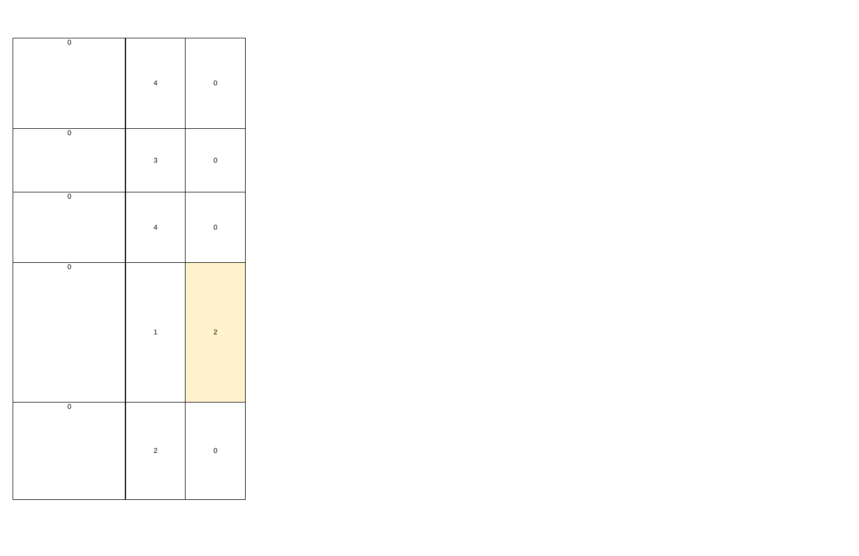| $\overline{0}$ | $\overline{\mathbf{4}}$ | $\mathbf 0$      |
|----------------|-------------------------|------------------|
| $\overline{0}$ | $\mathbf{3}$            | $\mathbf{0}$     |
| $\overline{0}$ | $\overline{\mathbf{4}}$ | $\mathbf{0}$     |
| $\overline{0}$ | $\mathbf{1}$            | $\overline{c}$   |
| $\overline{0}$ | $\overline{c}$          | $\boldsymbol{0}$ |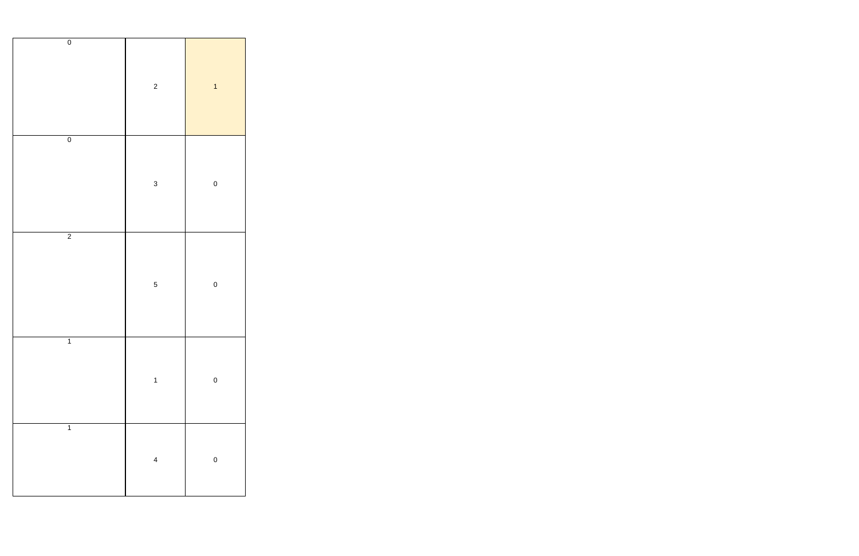| $\overline{0}$ | $\overline{c}$          | $\overline{1}$ |
|----------------|-------------------------|----------------|
| $\overline{0}$ | $\overline{3}$          | $\mathbf 0$    |
| $\overline{2}$ | $\overline{5}$          | $\mathbf{0}$   |
| $\overline{1}$ | $\mathbf{1}$            | $\mathbf{0}$   |
| $\overline{1}$ | $\overline{\mathbf{4}}$ | $\mathbf{0}$   |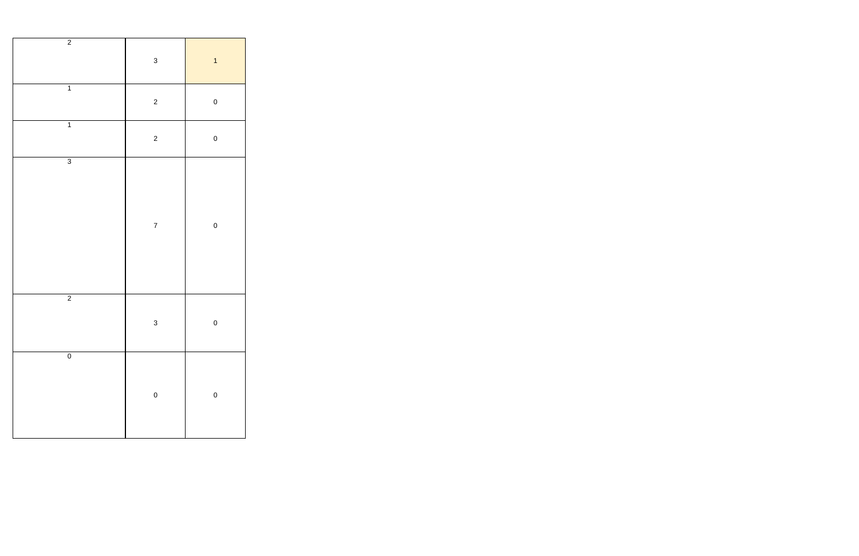| $\overline{2}$ | $\mathbf{3}$            | $\overline{\mathbf{1}}$ |
|----------------|-------------------------|-------------------------|
| $\overline{1}$ | $\overline{\mathbf{c}}$ | $\mathbf{0}$            |
| $\overline{1}$ | $\overline{c}$          | $\mathbf{0}$            |
| $\overline{3}$ | $\overline{7}$          | $\mathbf{0}$            |
| $\overline{2}$ | $\mathbf{3}$            | $\mathbf{0}$            |
| $\overline{0}$ | $\mathbf{0}$            | $\mathbf{0}$            |